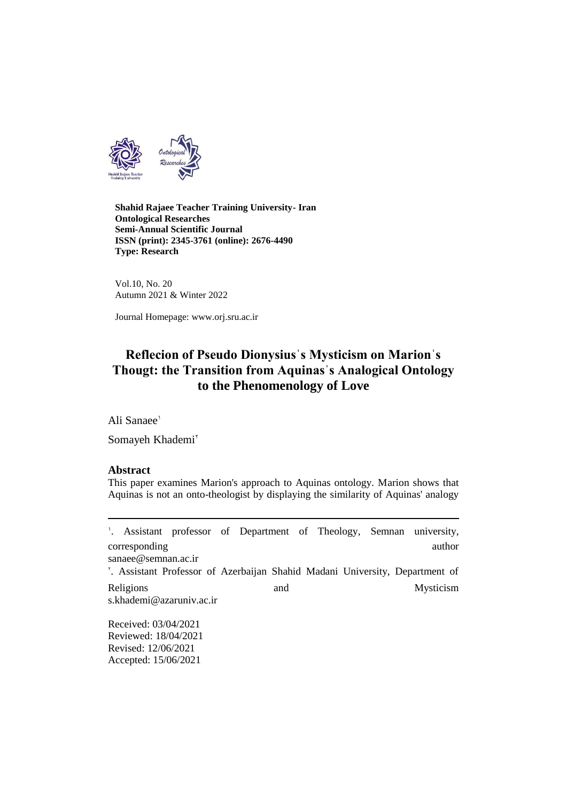

**Shahid Rajaee Teacher Training University- Iran Ontological Researches Semi-Annual Scientific Journal ISSN (print): 2345-3761 (online): 2676-4490 Type: Research**

Vol.10, No. 20 Autumn 2021 & Winter 2022

Journal Homepage: www.orj.sru.ac.ir

# **Reflecion of Pseudo Dionysiusˈs Mysticism on Marionˈs Thougt: the Transition from Aquinasˈs Analogical Ontology to the Phenomenology of Love**

Ali Sanaee<sup>1</sup>

Somayeh Khademi<sup>v</sup>

#### **Abstract**

 $\overline{a}$ 

This paper examines Marion's approach to Aquinas ontology. Marion shows that Aquinas is not an onto-theologist by displaying the similarity of Aquinas' analogy

1 . Assistant professor of Department of Theology, Semnan university, corresponding author [sanaee@semnan.ac.ir](mailto:sanaee@semnan.ac.ir) 2 . Assistant Professor of Azerbaijan Shahid Madani University, Department of Religions and Mysticism [s.khademi@azaruniv.ac.ir](mailto:s.khademi@azaruniv.ac.ir) Received: 03/04/2021

Reviewed: 18/04/2021 Revised: 12/06/2021 Accepted: 15/06/2021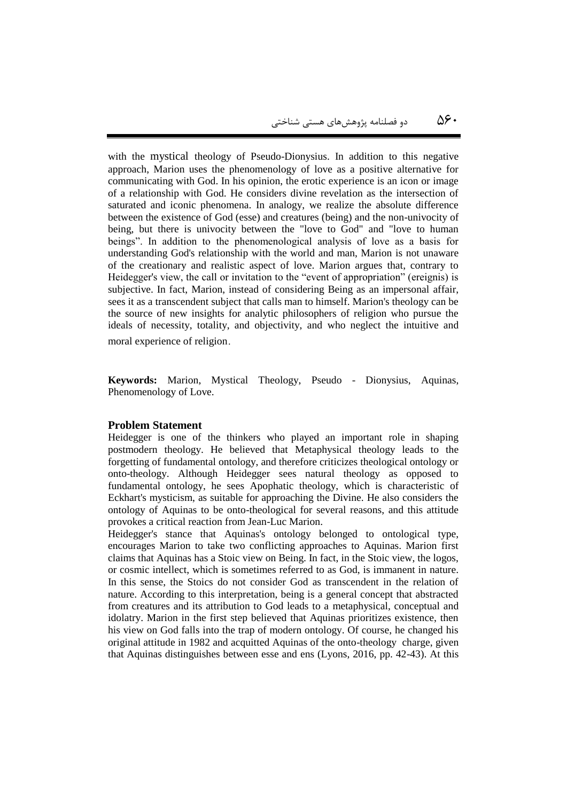with the mystical theology of Pseudo-Dionysius. In addition to this negative approach, Marion uses the phenomenology of love as a positive alternative for communicating with God. In his opinion, the erotic experience is an icon or image of a relationship with God. He considers divine revelation as the intersection of saturated and iconic phenomena. In analogy, we realize the absolute difference between the existence of God (esse) and creatures (being) and the non-univocity of being, but there is univocity between the "love to God" and "love to human beings". In addition to the phenomenological analysis of love as a basis for understanding God's relationship with the world and man, Marion is not unaware of the creationary and realistic aspect of love. Marion argues that, contrary to Heidegger's view, the call or invitation to the "event of appropriation" (ereignis) is subjective. In fact, Marion, instead of considering Being as an impersonal affair, sees it as a transcendent subject that calls man to himself. Marion's theology can be the source of new insights for analytic philosophers of religion who pursue the ideals of necessity, totality, and objectivity, and who neglect the intuitive and moral experience of religion.

**Keywords:** Marion, Mystical Theology, Pseudo - Dionysius, Aquinas, Phenomenology of Love.

#### **Problem Statement**

Heidegger is one of the thinkers who played an important role in shaping postmodern theology. He believed that Metaphysical theology leads to the forgetting of fundamental ontology, and therefore criticizes theological ontology or onto-theology. Although Heidegger sees natural theology as opposed to fundamental ontology, he sees Apophatic theology, which is characteristic of Eckhart's mysticism, as suitable for approaching the Divine. He also considers the ontology of Aquinas to be onto-theological for several reasons, and this attitude provokes a critical reaction from Jean-Luc Marion.

Heidegger's stance that Aquinas's ontology belonged to ontological type, encourages Marion to take two conflicting approaches to Aquinas. Marion first claims that Aquinas has a Stoic view on Being. In fact, in the Stoic view, the logos, or cosmic intellect, which is sometimes referred to as God, is immanent in nature. In this sense, the Stoics do not consider God as transcendent in the relation of nature. According to this interpretation, being is a general concept that abstracted from creatures and its attribution to God leads to a metaphysical, conceptual and idolatry. Marion in the first step believed that Aquinas prioritizes existence, then his view on God falls into the trap of modern ontology. Of course, he changed his original attitude in 1982 and acquitted Aquinas of the onto-theology charge, given that Aquinas distinguishes between esse and ens (Lyons, 2016, pp. 42-43). At this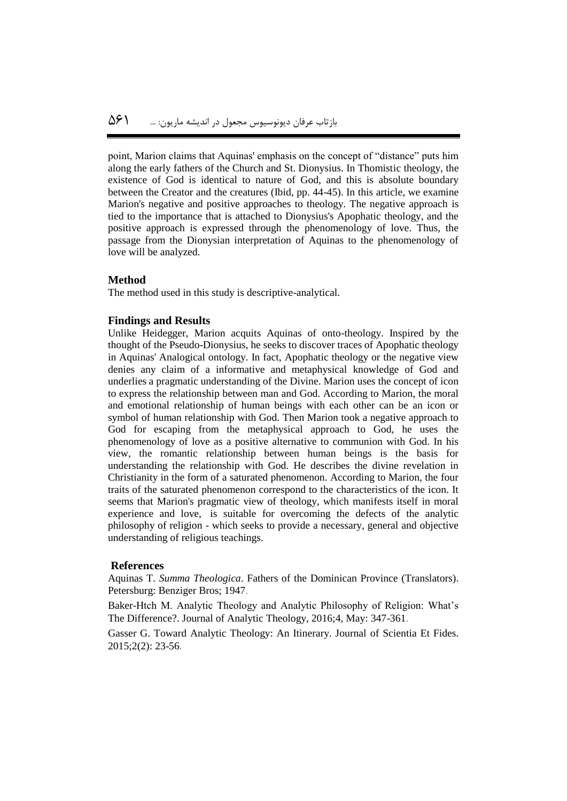point, Marion claims that Aquinas' emphasis on the concept of "distance" puts him along the early fathers of the Church and St. Dionysius. In Thomistic theology, the existence of God is identical to nature of God, and this is absolute boundary between the Creator and the creatures (Ibid, pp. 44-45). In this article, we examine Marion's negative and positive approaches to theology. The negative approach is tied to the importance that is attached to Dionysius's Apophatic theology, and the positive approach is expressed through the phenomenology of love. Thus, the passage from the Dionysian interpretation of Aquinas to the phenomenology of love will be analyzed.

#### **Method**

The method used in this study is descriptive-analytical.

#### **Findings and Results**

Unlike Heidegger, Marion acquits Aquinas of onto-theology. Inspired by the thought of the Pseudo-Dionysius, he seeks to discover traces of Apophatic theology in Aquinas' Analogical ontology. In fact, Apophatic theology or the negative view denies any claim of a informative and metaphysical knowledge of God and underlies a pragmatic understanding of the Divine. Marion uses the concept of icon to express the relationship between man and God. According to Marion, the moral and emotional relationship of human beings with each other can be an icon or symbol of human relationship with God. Then Marion took a negative approach to God for escaping from the metaphysical approach to God, he uses the phenomenology of love as a positive alternative to communion with God. In his view, the romantic relationship between human beings is the basis for understanding the relationship with God. He describes the divine revelation in Christianity in the form of a saturated phenomenon. According to Marion, the four traits of the saturated phenomenon correspond to the characteristics of the icon. It seems that Marion's pragmatic view of theology, which manifests itself in moral experience and love, is suitable for overcoming the defects of the analytic philosophy of religion - which seeks to provide a necessary, general and objective understanding of religious teachings.

#### **References**

Aquinas T. *Summa Theologica*. Fathers of the Dominican Province (Translators). Petersburg: Benziger Bros; 1947.

Baker-Htch M. Analytic Theology and Analytic Philosophy of Religion: What's The Difference?. Journal of Analytic Theology, 2016;4, May: 347-361.

Gasser G. Toward Analytic Theology: An Itinerary. Journal of Scientia Et Fides. 2015;2(2): 23-56.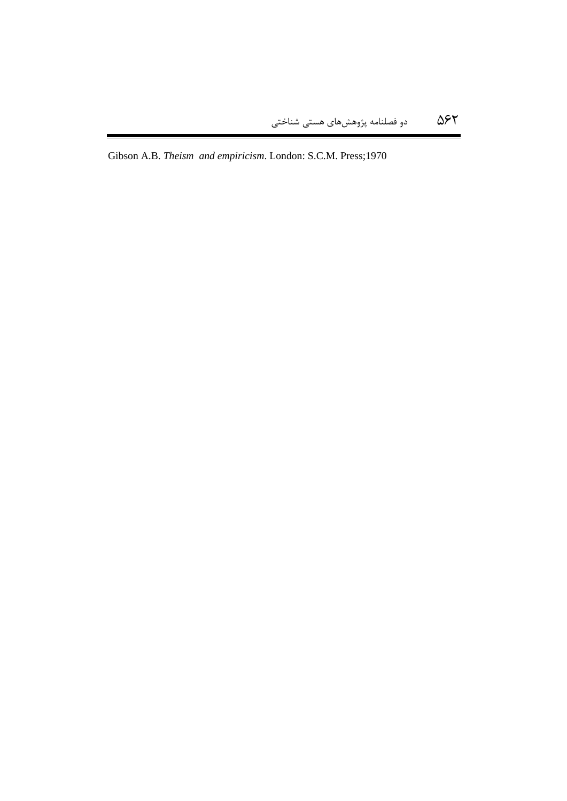Gibson A.B. *Theism and empiricism*. London: S.C.M. Press;1970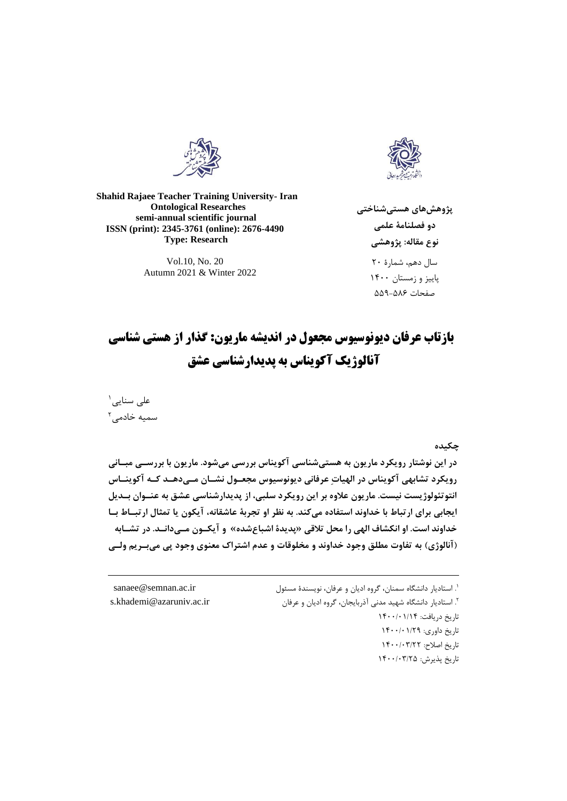



**Shahid Rajaee Teacher Training University- Iran Ontological Researches semi-annual scientific journal ISSN (print): 2345-3761 (online): 2676-4490 Type: Research**

> Vol.10, No. 20 Autumn 2021 & Winter 2022

**پژوهشهای هستیشناختی دو فصلنامۀ علمی نوع مقاله: پژوهشی** سال دهم، شمارۀ 55 پاییز و زمستان 1055 صفحات 005-086

# **بازتاب عرفان دیونوسیوس مجعول در اندیشه ماریون: گذار از هستی شناسی آنالوژیک آکویناس به پدیدارشناسی عشق**

<sup>1</sup> علی سنایی سمیه خادمی<sup>۲</sup>

 $\overline{a}$ 

**چکیده**

**در این نوشتار رویکرد ماریون به هستیشناسی آکویناس بررسی میشود. ماریون با بررسیی مایانی رویکرد تشابهی آکویناس در الهیاتِ عرفانی دیونوسیوس مجعیو نشیان میی دهید کیه آکوینیاس انتوتئولوژیست نیست. ماریون عالوه بر این رویکرد سلای، از پدیدارشناسی عشق به عنیوان بیدی ایجابی برای ارتااط با خداوند استفاده میکند. به نظر او تجربۀ عاشقانه، آیکون یا تمثا ارتایاط بیا**  خداوند است. او انکشاف الهی را محل تلاقی «پدیدۀ اشباعشده» و آیکــون مــیدانــد. در تشــابه **)آنالوژی( به تفاوت مطلق وجود خداوند و مخلوقات و عدم اشتراک معنوی وجود پی میبیری ولیی** 

1 . استادیار دانشگاه سمنان، گروه ادیان و عرفان، نویسندۀ مسئول [ir.ac.semnan@sanaee](mailto:sanaee@semnan.ac.ir) `. استادیار دانشگاه شهید مدنی آذربایجان، گروه ادیان و عرفان ir.ac.ir. s.khademi@azaruniv.ac.ir تاریخ دریافت: ۱۴۰۰/۰۱/۱۴ تاریخ داوری: ۱۴۰۰/۰۱/۲۹ تاریخ اصلاح: ١۴٠٠/٠٣/٢٢ تاریخ پذیرش: ۱۴۰۰/۰۳/۲۵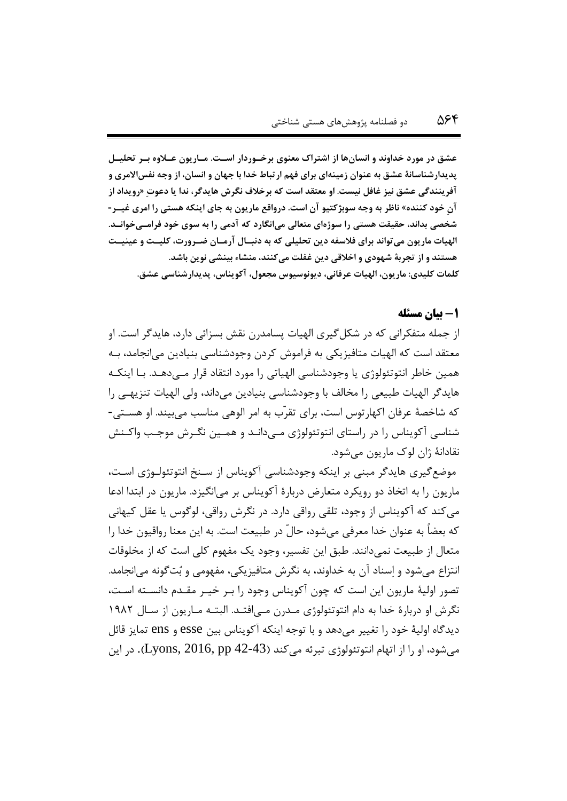**عشق در مورد خداوند و انسانها از اشتراک معنوی برخیوردار اسیت. میاریون عیالوه بیر تحلیی پدیدارشناسانۀ عشق به عنوان زمینهای برای فه ارتااط خدا با جهان و انسان، از وجه نفساالمری و آفرینندگی عشق نیز غاف نیست. او معتقد است که برخالف نگرش هایدگر، ندا یا دعوتِ »رویداد از آنِ خود کننده« ناظر به وجه سوبژکتیو آن است. درواقع ماریون به جای اینکه هستی را امری غییر - شخصی بداند، حقیقت هستی را سوژهای متعالی میانگارد که آدمی را به سوی خود فرامیی خوانید. الهیات ماریون میتواند برای فالسفه دین تحلیلی که به دنایا آرمیان ویرور ت، کلییت و عینییت هستند و از تجربۀ شهودی و اخالقی دین غفلت میکنند، منشاء بینشی نوین باشد. کلمات کلیدی: ماریون، الهیات عرفانی، دیونوسیوس مجعو ، آکویناس، پدیدارشناسی عشق.**

#### **-1 بیان مسئله**

از جمله متفکرانی که در شکلگیری الهیات پسامدرن نقش بسزائی دارد، هایدگر است. او معتقد است که الهیات متافیزیکی به فراموش کردن وجودشناسی بنیادین میانجامد، بهه همین خاطر انتوتئولوژی یا وجودشناسی الهیاتی را مورد انتقاد قرار مهی دههد . بها اینکهه هایدگر الهیات طبیعی را مخالف با وجودشناسی بنیادین میداند، ولی الهیات تنزیههی را که شاخصۀ عرفان اکهارتوس است، برای تقرّب به امر الوهی مناسب میبیند. او هسهتی - شناسی آکویناس را در راستای انتوتئولوژی مهی دانهد و همهین نگه رش موجهب واکهنش نقادانۀ ژان لوک ماریون میشود.

موضعگیری هایدگر مبنی بر اینکه وجودشناسی آکویناس از سهنخ انتوتئولهوژ ی اسهت، ماریون را به اتخاذ دو رویکرد متعارض دربارۀ آکویناس بر میانگیزد. ماریون در ابتدا ادعا میکند که آکویناس از وجود، تلقی رواقی دارد. در نگرش رواقی، لوگوس یا عقل کیهانی که بعضاً به عنوان خدا معرفی میشود، حالّ در طبیعت است. به این معنا رواقیون خدا را متعال از طبیعت نمیدانند. طبق این تفسیر، وجود یک مفهوم کلی است که از مخلوقات انتزاع میشود و اِسناد آن به خداوند، به نگرش متافیزیکی، مفهومی و بُتگونه میانجامد. تصور اولیۀ ماریون این است که چون آکویناس وجود را بهر خیهر مقهدم دانسهته اسهت، نگرش او دربارۀ خدا به دام انتوتئولوژی مهدرن مهی افتهد. البتهه مهاریون از سهال 1585 دیدگاه اولیۀ خود را تغییر میدهد و با توجه اینکه آکویناس بین esse و ens تمایز قائل میشود، او را از اتهام انتوتئولوژی تبرئه میکند )42-43 pp 2016, ,Lyons). در این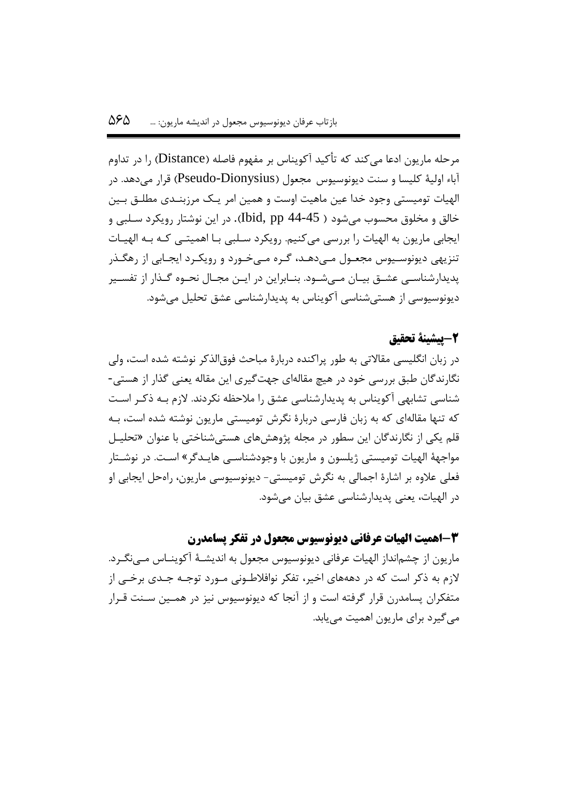مرحله ماریون ادعا میکند که تأکید آکویناس بر مفهوم فاصله )Distance )را در تداوم آباء اولیۀ کلیسا و سنت دیونوسیوس مجعول )Dionysius-Pseudo )قرار میدهد. در الهیات تومیستی وجود خدا عین ماهیت اوست و همین امر یهک مرزبنهدی مطلهق بهین خالق و مخلوق محسوب میشود ) 44-45 pp ,Ibid). در این نوشتار رویکرد سهلبی و ایجابی ماریون به الهیات را بررسی میکنیم. رویکرد سـلبی بـا اهمیتـی کـه بـه الهیـات تنزیهی دیونوسـیوس مجعـول مـیدهـد، گـره مـیخـورد و رویکـرد ایجـابی از رهگـذر پدیدارشناسـی عشــق بیــان مــیشــود. بنــابراین در ایــن مجــال نحــوه گــذار از تفســیر دیونوسیوسی از هستیشناسی آکویناس به پدیدارشناسی عشق تحلیل میشود.

## **-2پیشینۀ تحقیق**

در زبان انگلیسی مقاالتی به طور پراکنده دربارۀ مباحث فوقالذکر نوشته شده است، ولی نگارندگان طبق بررسی خود در هیچ مقالهای جهتگیری این مقاله یعنی گذار از هستی- شناسی تشابهی آکویناس به پدیدارشناسی عشق را مالحظه نکردند. الزم بهه ذکهر اسهت که تنها مقالهای که به زبان فارسی دربارۀ نگرش تومیستی ماریون نوشته شده است، بهه قلم یکی از نگارندگان این سطور در مجله پژوهشهای هستیشناختی با عنوان »تحلیه ل مواجهۀ الهیات تومیستی ژیلسون و ماریون با وجودشناسـی هایـدگر» اسـت. در نوشـتار فعلی عالوه بر اشارۀ اجمالی به نگرش تومیستی- دیونوسیوسی ماریون، راهحل ایجابی او در الهیات، یعنی پدیدارشناسی عشق بیان میشود.

**-3اهمیت الهیات عرفانی دیونوسیوس مجعول در تفکر پسامدرن**  ماریون از چشمانداز الهیات عرفانی دیونوسیوس مجعول به اندیشهۀ آکوینهاس مهی نگهرد. الزم به ذکر است که در دهههای اخیر، تفکر نوافالطهونی مهورد توجهه جهدی برخهی از متفکران پسامدرن قرار گرفته است و از آنجا که دیونوسیوس نیز در همهین سهنت قهرار میگیرد برای ماریون اهمیت مییابد.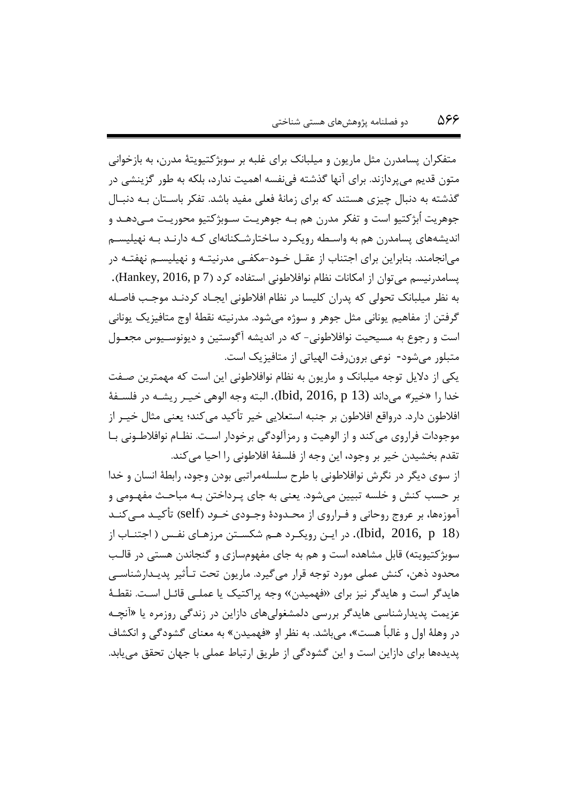متفکران پسامدرن مثل ماریون و میلبانک برای غلبه بر سوبژکتیویتۀ مدرن، به بازخوانی متون قدیم میپردازند. برای آنها گذشته فینفسه اهمیت ندارد، بلکه به طور گزینشی در گذشته به دنبال چیزی هستند که برای زمانۀ فعلی مفید باشد. تفکر باسهتان بهه دنبهال جوهریت اُبژکتیو است و تفکر مدرن هم بهه جوهریهت سهوبژکتیو محوریهت مهی دههد و اندیشههای پسامدرن هم به واسطه رویک ر ساختارشکنانهای کـه دارنـد بـه نهیلیسـم میانجامند. بنابراین برای اجتناب از عقـل خـود-مکفـی مدرنیتـه و نهیلیسـم نهفتـه در پسامدرنیسم میتوان از امکانات نظام نوافالطونی استفاده کرد )7 p 2016, ,Hankey). به نظر میلبانک تحولی که پدران کلیسا در نظام افالطونی ایجهاد کردنهد موجهب فاصهله گرفتن از مفاهیم یونانی مثل جوهر و سوژه میشود. مدرنیته نقطۀ اوج متافیزیک یونانی است و رجوع به مسیحیت نوافالطونی- که در اندیشه آگوستین و دیونوسهیوس مجعهول متبلور میشود- نوعی برونرفت الهیاتی از متافیزیک است.

یکی از دالیل توجه میلبانک و ماریون به نظام نوافالطونی این است که مهمترین صهفت خدا را »خیر« میداند (13 p 2016, ,Ibid). البته وجه الوهی خیهر ریشهه در فلسهفۀ افالطون دارد. درواقع افالطون بر جنبه استعالیی خیر تأکید میکند؛ یعنی مثال خیهر از موجودات فراروی میکند و از الوهیت و رمزآلودگی برخودار اسهت. نظهام نوافالطهونی بها تقدم بخشیدن خیر بر وجود، این وجه از فلسفۀ افلاطونی را احیا می کند.

از سوی دیگر در نگرش نوافالطونی با طرح سلسلهمراتبی بودن وجود، رابطۀ انسان و خدا بر حسب کنش و خلسه تبیین میشود. یعنی به جای پـرداختن بـه مباحـث مفهـومی و آموزهها، بر عروج روحانی و فـراروی از محـدودۀ وجـودی *خـود* (self) تأکیـد مـی *کنـ*د )18 p 2016, ,Ibid). در ایهن رویکهرد ههم شکسهتن مرزههای نفه ) اجتنهاب از سوبژکتیویته) قابل مشاهده است و هم به جای مفهومسازی و گنجاندن هستی در قالب محدود ذهن، کنش عملی مورد توجه قرار میگیرد. ماریون تحت تهأییر پدیهدار شناسهی هایدگر است و هایدگر نیز برای «فهمیدن» وجه پراکتیک یا عملـی قائـل اسـت. نقطـهٔ عزیمت پدیدارشناسی هایدگر بررسی دلمشغولیهای دازاین در زندگی روزمره یا »آنچهه در وهلۀ اول و غالباً هست«، میباشد. به نظر او »فهمیدن« به معنای گشودگی و انکشاف پدیدهها برای دازاین است و این گشودگی از طریق ارتباط عملی با جهان تحقق مییابد.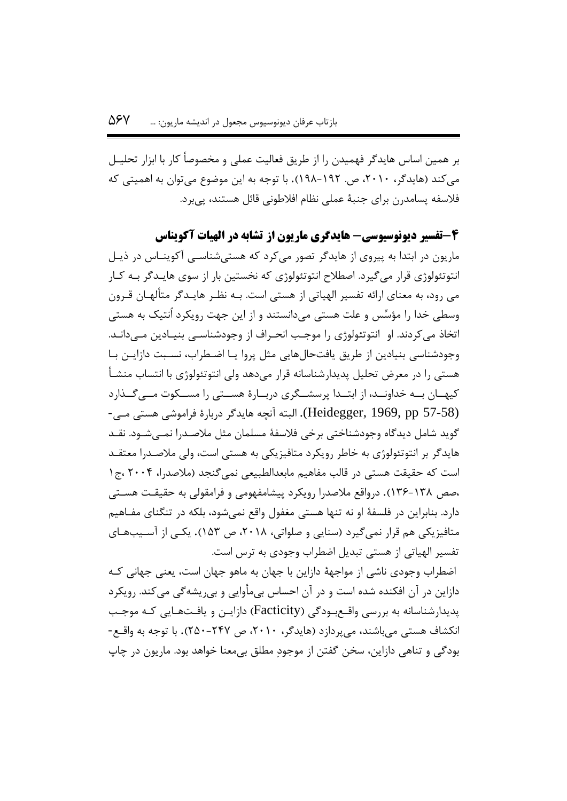بر همین اساس هایدگر فهمیدن را از طریق فعالیت عملی و مخصوصاً کار با ابزار تحلیه ل میکند (هایدگر، ۲۰۱۰، ص. ۱۹۲-۱۹۸). با توجه به این موضوع میتوان به اهمیتی که فالسفه پسامدرن برای جنبۀ عملی نظام افالطونی قائل هستند، پیبرد.

**-4تفسیر دیونوسیوسی- هایدگری ماریون از تشابه در الهیات آکویناس** ماریون در ابتدا به پیروی از هایدگر تصور میکرد که هستی شناســی آکوینــاس در ذیــل انتوتئولوژی قرار میگیرد. اصطالح انتوتئولوژی که نخستین بار از سوی هایهدگر بهه کهار می رود، به معنای ارائه تفسیر الهیاتی از هستی است. بهه نظهر هایه دگر متألههان قهرون وسطی خدا را مؤسِّس و علت هستی میدانستند و از این جهت رویکرد اُنتیک به هستی اتخاذ میکردند. او انتوتئولوژی را موجهب انحهراف از وجودشناسهی بنیهادین مهی دانهد. وجودشناسی بنیادین از طریق یافتحالهایی مثل پروا یـا اضـطراب، نسـبت دازایـن بـا هستی را در معرض تحلیل پدیدارشناسانه قرار میدهد ولی انتوتئولوژی با انتساب منشهأ کیههان به خداونهه از ابتها پرسشگری دربارۀ هستی را مسكوت مهیگذارد (Heidegger, 1969, pp 57-58). البته آنچه هایدگر دربارۀ فراموشی هستی مـی-گوید شامل دیدگاه وجودشناختی برخی فلاسفۀ مسلمان مثل ملاصـدرا نمـبیشـود. نقـد هایدگر بر انتوتئولوژی به خاطر رویکرد متافیزیکی به هستی است، ولی مالصهدرا معتقهد است که حقیقت هستی در قالب مفاهیم مابعدالطبیعی نمی گنجد (ملاصدرا، ۲۰۰۴ ،ج۱ ،صص 136-138(. درواقع مالصدرا رویکرد پیشامفهومی و فرامقولی به حقیقهت هسهت ی دارد. بنابراین در فلسفۀ او نه تنها هستی مغفول واقع نمی شود، بلکه در تنگنای مفـاهیم متافیزیکی هم قرار نمیگیرد (سنایی و صلواتی، ۲۰۱۸، ص ۱۵۳). یکهی از آسـیبهـای تفسیر الهیاتی از هستی تبدیل اضطراب وجودی به ترس است.

اضطراب وجودی ناشی از مواجهۀ دازاین با جهان به ماهو جهان است، یعنی جهانی کهه دازاین در آن افکنده شده است و در آن احساس بیمأوایی و بیریشهگی میکند. رویکرد پدیدارشناسانه به بررسی واقـع بـودگی (Facticity) دازایــن و یافـتـهـایی کـه موجـب انکشاف هستی میباشند، میپردازد )هایدگر، ،5515 ص 505-505(. با توجه به واقهع - بودگی و تناهی دازاین، سخن گفتن از موجودِ مطلق بیمعنا خواهد بود. ماریون در چاپ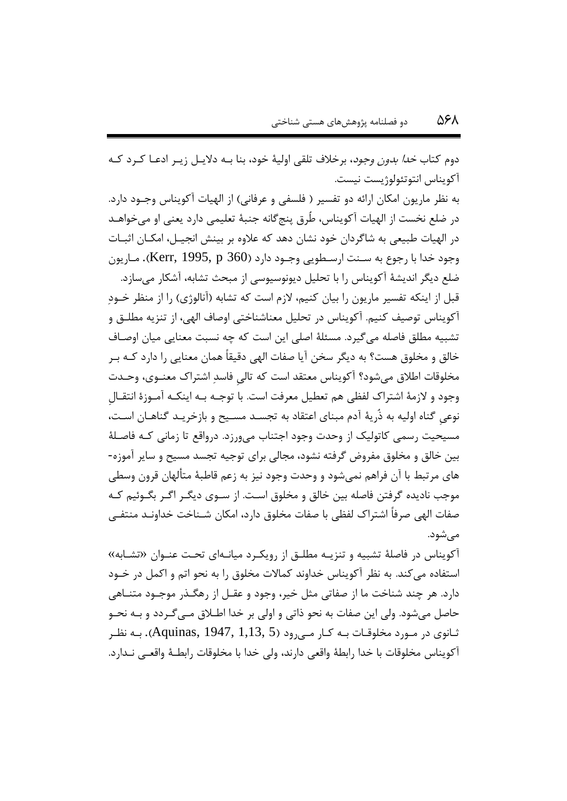دوم کتاب *خدا بدون وجود*، برخلاف تلقی اولیۀ خود، بنا بــه دلایــل زیــر ادعــا کــرد کــه آکویناس انتوتئولوژیست نیست.

به نظر ماریون امکان ارائه دو تفسیر ( فلسفی و عرفانی) از الهیات آکویناس وجــود دارد. در ضلع نخست از الهیات آکویناس، طُرق پنجگانه جنبۀ تعلیمی دارد یعنی او میخواههد در الهیات طبیعی به شاگردان خود نشان دهد که علاوه بر بینش انجیـل، امکـان اثبـات وجود خدا با رجوع به سـنت ارسـطویی وجـود دارد (1360 Kerr, 1995, p). مـاریون ضلع دیگر اندیشۀ آکویناس را با تحلیل دیونوسیوسی از مبحث تشابه، آشکار میسازد.

قبل از اینکه تفسیر ماریون را بیان کنیم، لازم است که تشابه (آنالوژی) را از منظر خــود آکویناس توصیف کنیم. آکویناس در تحلیل معناشناختی اوصاف الهی، از تنزیه مطلهق و تشبیه مطلق فاصله میگیرد. مسئلۀ اصلی این است که چه نسبت معنایی میان اوصهاف خالق و مخلوق هست؟ به دیگر سخن آیا صفات الهی دقیقاً همان معنایی را دارد کهه بهر مخلوقات اطالق میشود؟ آکویناس معتقد است که تالیِ فاسدِ اشتراک معنهوی، وحهدت وجود و الزمۀ اشتراک لفظی هم تعطیل معرفت است. با توجهه بهه اینکهه آمهوزۀ انتقهالِ نوعیِ گناه اولیه به ذُریۀ آدم مبنای اعتقاد به تجسهد مسهیو و بازخریهد گناههان اسهت، مسیحیت رسمی کاتولیک از وحدت وجود اجتناب میورزد. درواقع تا زمانی کهه فاصهلۀ بین خالق و مخلوق مفروض گرفته نشود، مجالی برای توجیه تجسد مسیو و سایر آموزه- های مرتبط با آن فراهم نمیشود و وحدت وجود نیز به زعم قاطبۀ متألهان قرون وسطی موجب نادیده گرفتن فاصله بین خالق و مخلوق اسهت . از سهوی دیگهر اگهر بگهوئیم کهه صفات الهی صرفاً اشتراک لفظی با صفات مخلوق دارد، امکان شـناخت خداونـد منتفـی میشود.

آکویناس در فاصلۀ تشبیه و تنزیهه مطلهق از رویکهرد میانهه ای تحهت عنه وان »تشهابه « استفاده میکند. به نظر آکویناس خداوند کماالت مخلوق را به نحو اتم و اکمل در خهود دارد. هر چند شناخت ما از صفاتی مثل خیر، وجود و عقـل از رهگـذر موجـود متنــاهی حاصل میشود. ولی این صفات به نحو ذاتی و اولی بر خدا اطهالق مهی گهردد و بهه نحهو یانوی در مورد مخلوقات بـه کـار مـی,رود (Aquinas, 1947, 1,13, 5). بـه نظـر آکویناس مخلوقات با خدا رابطۀ واقعی دارند، ولی خدا با مخلوقات رابطهۀ واقعهی نهدارد.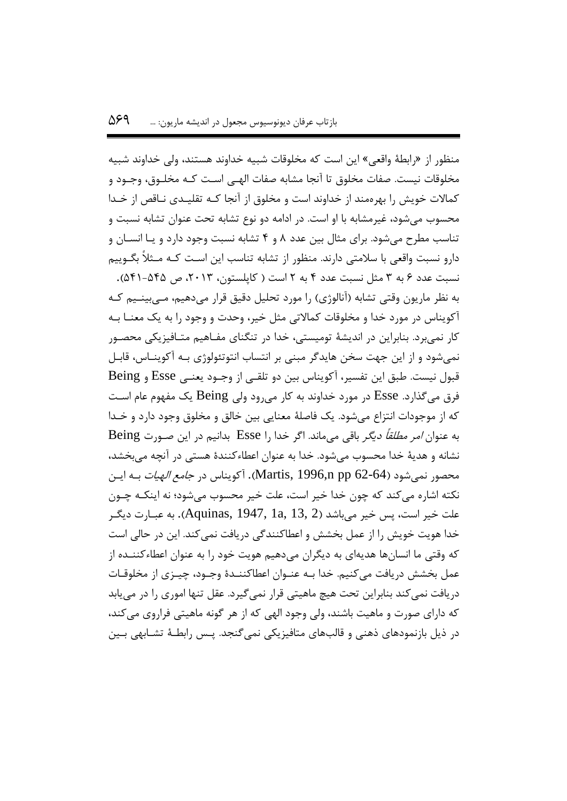منظور از «رابطۀ واقعی» این است که مخلوقات شبیه خداوند هستند، ولی خداوند شبیه مخلوقات نیست. صفات مخلوق تا آنجا مشابه صفات الهـی اسـت کـه مخلـوق، وجـود و کماالت خویش را بهرهمند از خداوند است و مخلوق از آنجا کهه تقلیهدی نهاقص از خهدا محسوب میشود، غیرمشابه با او است. در ادامه دو نوع تشابه تحت عنوان تشابه نسبت و تناسب مطرح میشود. برای مثال بین عدد 8 و 0 تشابه نسبت وجود دارد و یها انسهان و دارو نسبت واقعی با سلامتی دارند. منظور از تشابه تناسب این اسـت کـه مـثلاً بگــوییم نسبت عدد ۶ به ۳ مثل نسبت عدد ۴ به ۲ است ( کاپلستون، ۲۰۱۳، ص ۵۴۵-۵۴۱). به نظر ماریون وقتی تشابه (آنالوژی) را مورد تحلیل دقیق قرار میدهیم، مــی بینــیم کــه آکویناس در مورد خدا و مخلوقات کماالتی مثل خیر، وحدت و وجود را به یک معنها بهه کار نمیبرد. بنابراین در اندیشۀ تومیستی، خدا در تنگنای مفـاهیم متـافیزیکی محصـور نمیشود و از این جهت سخن هایدگر مبنی بر انتساب انتوتئولوژی بهه آکو ینهاس، قابهل قبول نیست. طبق این تفسیر، آکویناس بین دو تلقهی از وجهود یعنهی Esse و Being فرق میگذارد. Esse در مورد خداوند به کار میرود ولی Being یک مفهوم عام اسهت که از موجودات انتزاع میشود. یک فاصلۀ معنایی بین خالق و مخلوق وجود دارد و خهدا به عنوان امر مطلقاً دیگر باقی میماند. اگر خدا را Esse بدانیم در این صهورت Being نشانه و هدیۀ خدا محسوب میشود. خدا به عنوان اعطاءکنندۀ هستی در آنچه میبخشد، محصور نمیشود (64-62 Martis, 1996,n pp). آکویناس در *جامع الهیات* بـه ایـن نکته اشاره میکند که چون خدا خیر است، علت خیر محسوب میشود؛ نه اینکهه چهون علت خیر است، پس خیر می $\mu$ شد (2 .Aquinas, 1947,  $1$ a, 13 به عبـارت دیگـر خدا هویت خویش را از عمل بخشش و اعطاکنندگی دریافت نمیکند. این در حالی است که وقتی ما انسانها هدیهای به دیگران میدهیم هویت خود را به عنوان اعطاءکننهده از عمل بخشش دریافت میکنیم. خدا بـه عنـوان اعطاکننـدهٔ وجـود، چیـزی از مخلوقـات دریافت نمیکند بنابراین تحت هیچ ماهیتی قرار نمیگیرد. عقل تنها اموری را در مییابد که دارای صورت و ماهیت باشند، ولی وجود الهی که از هر گونه ماهیتی فراروی میکند، در ذیل بازنمودهای ذهنی و قالبهای متافیزیکی نمی گنجد. پـس رابطـهٔ تشـابهی بـین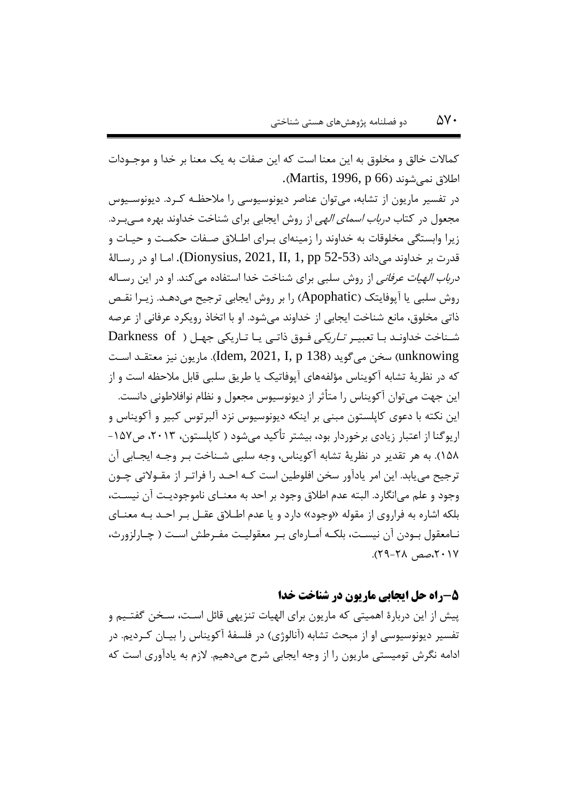کماالت خالق و مخلوق به این معنا است که این صفات به یک معنا بر خدا و موجهودات اطلاق نمی شوند (Martis, 1996, p 66).

در تفسیر ماریون از تشابه، میتوان عناصر دیونوسیوسی را مالحظهه کهرد. دیونوسهیوس مجعول در کتاب *درباب اسمای الهی* از روش ایجابی برای شناخت خداوند بهره مـ<u>ی</u>بـرد. زیرا وابستگی مخلوقات به خداوند را زمینهای بهرای اطهالق صهفات حکمهت و حیهات و قدرت بر خداوند می $\rm (Dionysius,\, 2021,\, II,\, 1,\, pp$  52-53). امـا او در رســالۀ درباب الهیات عرفانی از روش سلبی برای شناخت خدا استفاده میکند. او در این رسهاله روش سلبی یا آپوفایتک )Apophatic )را بر روش ایجابی ترجیو میدههد . زیهرا نقهص ذاتی مخلوق، مانع شناخت ایجابی از خداوند میشود. او با اتخاذ رویکرد عرفانی از عرصه شـناخت خداونـد بـا تعبیـر *تـاریکی* فـوق ذاتـی یـا تـاریکی جهـل ( Darkness of سخن میگوید (138 Jdem, 2021, I, p سخن میگوید (138 Jem). ماریون نیز معتقـد اسـت که در نظریۀ تشابه آکویناس مؤلفههای آپوفاتیک یا طریق سلبی قابل مالحظه است و از این جهت میتوان آکویناس را متأیر از دیونوسیوس مجعول و نظام نوافالطونی دانست. این نکته با دعوی کاپلستون مبنی بر اینکه دیونوسیوس نزد آلبرتوس کبیر و آکویناس و اریوگنا از اعتبار زیادی برخوردار بود، بیشتر تأکید میشود ( کاپلستون، ۲۰۱۳، ص۱۵۷-1۵۸). به هر تقدیر در نظریۀ تشابه آکویناس، وجه سلبی شـناخت بـر وجـه ایجـابی آن ترجیح می یابد. این امر یادآور سخن افلوطین است کـه احــد را فراتـر از مقــولاتی چــون وجود و علم میانگارد. البته عدم اطالق وجود بر احد به معنهای ناموجودیهت آن نیسهت ، بلکه اشاره به فراروی از مقوله «وجود» دارد و یا عدم اطلاق عقـل بـر احـد بـه معنـای نـامعقول بــودن آن نیســت، بلکــه اَمــارهای بــر معقولیــت مفــرطش اســت ( چــارلزورث، ،5515صص 55-58(.

## **-5راه حل ایجابی ماریون در شناخت خدا**

پیش از این دربارۀ اهمیتی که ماریون برای الهیات تنزیهی قائل اسهت ، سهخن گفتهیم و تفسیر دیونوسیوسی او از مبحث تشابه (آنالوژی) در فلسفۀ آکویناس را بیـان کـردیم. در ادامه نگرش تومیستی ماریون را از وجه ایجابی شرح میدهیم. الزم به یادآوری است که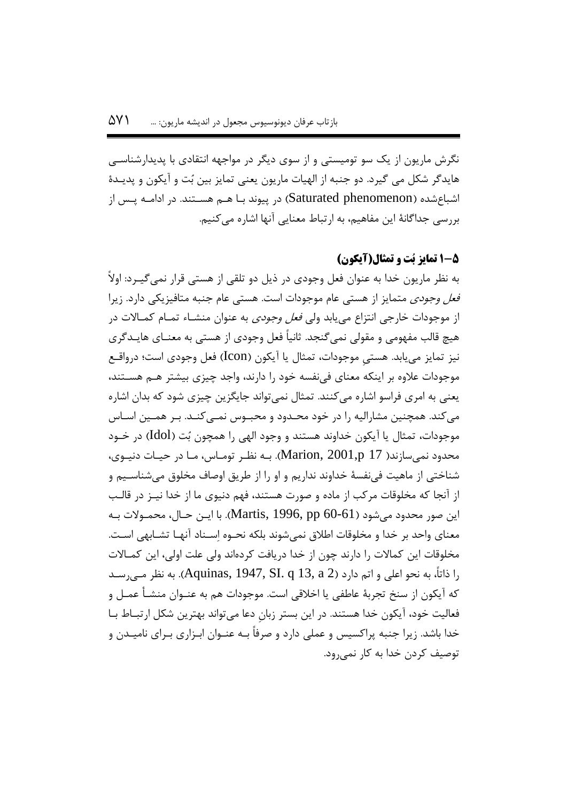نگرش ماریون از یک سو تومیستی و از سوی دیگر در مواجهه انتقادی با پدیدارشناسهی هایدگر شکل می گیرد. دو جنبه از الهیات ماریون یعنی تمایز بین بُت و آیکون و پدیهدۀ اشباعشده (Saturated phenomenon) در پیوند بـا هـم هسـتند. در ادامـه پـس از بررسی جداگانۀ این مفاهیم، به ارتباط معنایی آنها اشاره می کنیم.

## **1-5 تمایز بُت و تمثال)آیکون(**

به نظر ماریون خدا به عنوان فعل وجودی در ذیل دو تلقی از هستی قرار نمیگیهرد : اوالً فعل وجودی متمایز از هستی عام موجودات است. هستی عام جنبه متافیزیکی دارد. زیرا از موجودات خارجی انتزاع می یابد ولی *فعل وجودی* به عنوان منشـاء تمـام کمـالات در هیچ قالب مفهومی و مقولی نمی گنجد. ثانیاً فعل وجودی از هستی به معنــای هایــدگری نیز تمایز مییابد. هستی موجودات، تمثال یا آیکون (Icon) فعل وجودی است؛ درواقـع موجودات علاوه بر اینکه معنای فینفسه خود را دارند، واجد چیزی بیشتر هـم هسـتند، یعنی به امری فراسو اشاره میکنند. تمثال نمیتواند جایگزین چیزی شود که بدان اشاره می کند. همچنین مشارالیه را در خود محـدود و محبـوس نمـبی کنـد. بـر همـین اسـاس موجودات، تمثال یا آیکون خداوند هستند و وجود الهی را همچون بُت )Idol )در خهود محدود نمی سازند( 17 Marion, 2001,p). بـه نظـر تومـاس، مـا در حيـات دنيـوی، شناختی از ماهیت فینفسۀ خداوند نداریم و او را از طریق اوصاف مخلوق میشناسهی م و از آنجا که مخلوقات مرکب از ماده و صورت هستند، فهم دنیوی ما از خدا نیه ز در قالهب این صور محدود می شود (Martis, 1996, pp 60-61). با ایــن حــال، محمــولات بــه معنای واحد بر خدا و مخلوقات اطلاق نمی شوند بلکه نحــوه اســناد آنهــا تشــابهی اســت. مخلوقات این کماالت را دارند چون از خدا دریافت کردهاند ولی علت اولی، این کمهاالت را ذاتاً، به نحو اعلی و اتم دارد (Aquinas, 1947, SI. q 13, a 2). به نظر مه <sub>یر</sub>سد که آیکون از سنخ تجربۀ عاطفی یا اخالقی است. موجودات هم به عنهوان منشه أ عمهل و فعالیت خود، آیکون خدا هستند. در این بستر زبانِ دعا میتواند بهترین شکل ارتبهاط بها خدا باشد. زیرا جنبه پراکسیس و عملی دارد و صرفاً بـه عنـوان ابـزاری بـرای نامیـدن و توصیف کردن خدا به کار نمیرود.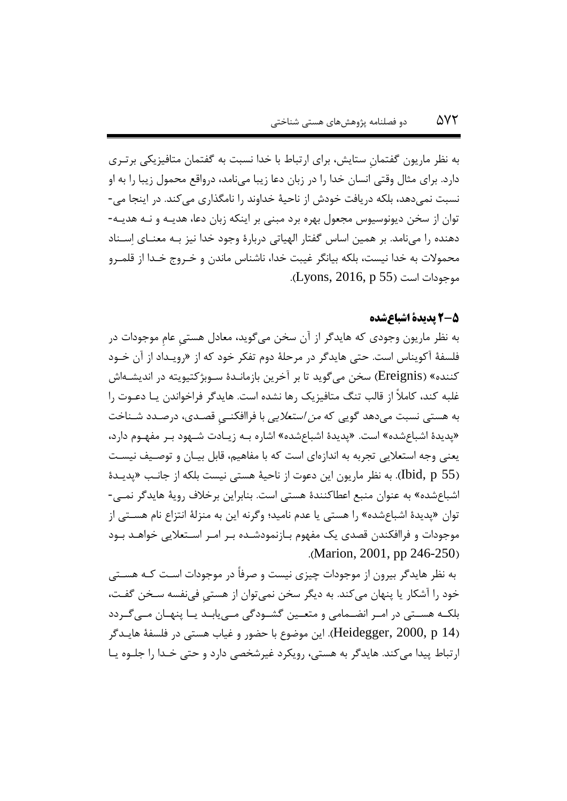به نظر ماریون گفتمانِ ستایش، برای ارتباط با خدا نسبت به گفتمان متافیزیکی برتهر ی دارد. برای مثال وقتی انسان خدا را در زبان دعا زیبا مینامد، درواقع محمول زیبا را به او نسبت نمیدهد، بلکه دریافت خودش از ناحیۀ خداوند را نامگذاری میکند. در اینجا می- توان از سخن دیونوسیوس مجعول بهره برد مبنی بر اینکه زبان دعا، هدیـه و نـه هدیـه-دهنده را مینامد. بر همین اساس گفتار الهیاتی دربارۀ وجود خدا نیز بهه معنها ی اِسهناد محموالت به خدا نیست، بلکه بیانگر غیبت خدا، ناشناس ماندن و خهروج خهدا از قلمهرو موجودات است (Lyons, 2016, p 55).

## **2-5 پدیدۀ اشباعشده**

به نظر ماریون وجودی که هایدگر از آن سخن میگوید، معادل هستیِ عامِ موجودات در فلسفۀ آکویناس است. حتی هایدگر در مرحلۀ دوم تفکر خود که از »رویه داد از آن خهود کننده» (Ereignis) سخن میگوید تا بر آخرین بازمانـدهٔ سـوبژکتیویته در اندیشـهاش غلبه کند، کامالً از قالب تنگ متافیزیک رها نشده است. هایدگر فراخواندن یه ا دعهوت را به هستی نسبت می دهد گویی که *من استعلایی* با فراافکنــی قصـدی، درصـدد شــناخت «پدیدۀ اشباعشده» است. «پدیدۀ اشباعشده» اشاره بـه زیـادت شـهود بـر مفهـوم دارد، یعنی وجه استعلایی تجربه به اندازهای است که با مفاهیم، قابل بیـان و توصـیف نیسـت (1bid, p 55). به نظر ماریون این دعوت از ناحیۀ هستی نیست بلکه از جانب «پدیـدۀ اشباعشده« به عنوان منبع اعطاکنندۀ هستی است. بنابراین برخالف رویۀ هایدگر نمه ی- توان »پدیدۀ اشباعشده« را هستی یا عدم نامید؛ وگرنه این به منزلۀ انتزاع نام هسهت ی از موجودات و فراافکندن قصدی یک مفهوم بـازنمودشـده بـر امـر اسـتعلایی خواهـد بـود .(Marion, 2001, pp 246-250)

به نظر هایدگر بیرون از موجودات چیزی نیست و صرفاً در موجودات اسهت کهه هسهت ی خود را آشکار یا پنهان میکند. به دیگر سخن نمی توان از هستی فی نفسه سـخن گفـت، بلکـه هسـتی در امـر انضـمامی و متعـین گشـودگی مـییابـد یـا پنهـان مـیگـردد )14 p 2000, ,Heidegger). این موضوع با حضور و غیاب هستی در فلسفۀ هایه دگر ارتباط پیدا میکند. هایدگر به هستی، رویکرد غیرشخصی دارد و حتی خهدا را جلهوه یه ا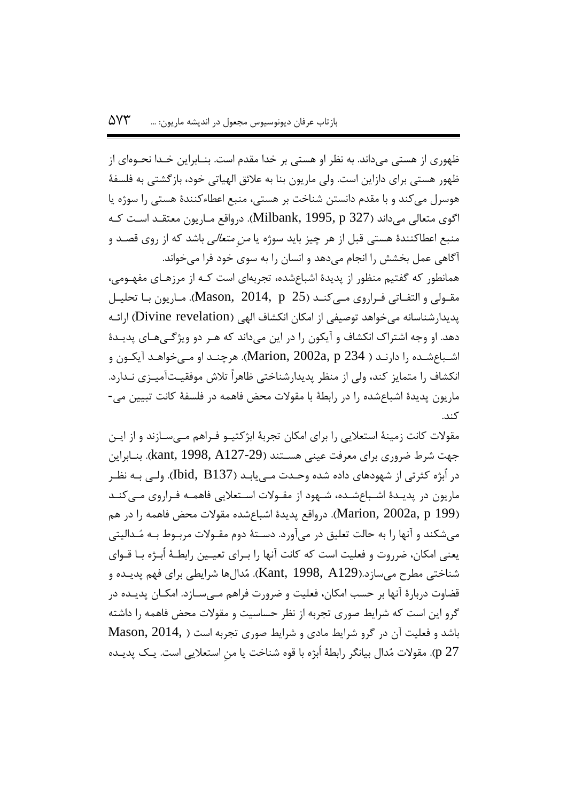ظهوری از هستی میداند. به نظر او هستی بر خدا مقدم است. بنــابراین خــدا نحــوهای از ظهور هستی برای دازاین است. ولی ماریون بنا به عالئق الهیاتی خود، بازگشتی به فلسفۀ هوسرل میکند و با مقدم دانستن شناخت بر هستی، منبع اعطاءکنندۀ هستی را سوژه یا اگوی متعالی میداند (1327 Milbank, 1995, p.). درواقع مـاريون معتقـد اسـت کـه منبع اعطاکنندۀ هستی قبل از هر چیز باید سوژه یا *من متعالی* باشد که از روی قصـد و آگاهی عمل بخشش را انجام میدهد و انسان را به سوی خود فرا میخواند. همانطور که گفتیم منظور از پدیدۀ اشباعشده، تجربهای است کـه از مرزهـای مفهـومی، مقـولی و التفـاتی فـراروی مـی کنــد (25 Mason, 2014, p). مـاریون بـا تحلیـل پدیدارشناسانه میخواهد توصیفی از امکان انکشاف الهی (Divine revelation) ارائـه دهد. او وجه اشتراک انکشاف و آیکون را در این میداند که هـر دو ویژگـیهـای پدیـدۀ اشـباعشـده را دارنـد ( 234 Marion, 2002a, p.). هرچنـد او مـیخواهـد آیکـون و انکشاف را متمایز کند، ولی از منظر پدیدارشناختی ظاهراً تلاش موفقیـتآمیــزی نــدارد. ماریون پدیدۀ اشباعشده را در رابطۀ با مقوالت محض فاهمه در فلسفۀ کانت تبیین می- کند.

مقولات کانت زمینۀ استعلایی را برای امکان تجربۀ ابژکتیــو فــراهم مــیســازند و از ایــن جهت شرط ضروری برای معرفت عینی هسـتند (127-29& kant, 1998, A, بنـابراین در اُبژه کثرتی از شهودهای داده شده وحـدت مـیLابـد (1513 ,Ibid). ولـی بـه نظـر ماریون در پدیـدۀ اشـباعشـده، شـهود از مقـولات اسـتعلایی فاهمـه فـراروی مـیکنـد )199 p ,a2002 ,Marion). درواقع پدیدۀ اشباعشده مقوالت محض فاهمه را در هم میشکند و آنها را به حالت تعلیق در میآورد. دسـتهٔ دوم مقـولات مربـوط بـه مُـدالیتی یعنی امکان، ضرروت و فعلیت است که کانت آنها را بـرای تعیـین رابطـهٔ اُبـژه بـا قـوای شناختی مطرح میسازد.)129A 1998, ,Kant). مُدالها شرایطی برای فهم پدیه ده و قضاوت دربارهٔ آنها بر حسب امکان، فعلیت و ضرورت فراهم مـیسـازد. امکـان پدیـده در گرو این است که شرایط صوری تجربه از نظر حساسیت و مقوالت محض فاهمه را داشته باشد و فعلیت آن در گرو شرایط مادی و شرایط صوری تجربه است ) 2014, ,Mason 27 p). مقوالت مُدال بیانگر رابطۀ اُبژه با قوه شناخت یا منِ استعالیی است. یه ک پدیه ده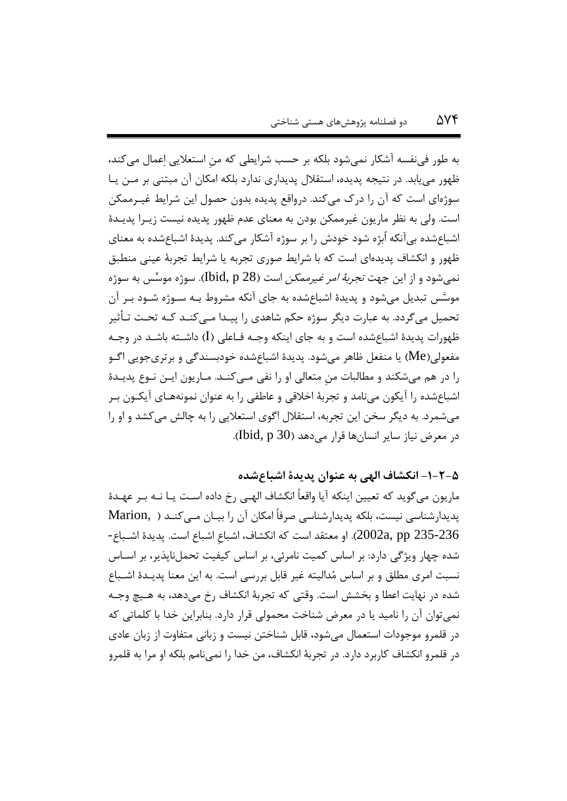به طور فینفسه آشکار نمیشود بلکه بر حسب شرایطی که منِ استعالیی اِعمال میکند، ظهور مییابد. در نتیجه پدیده، استقالل پدیداری ندارد بلکه امکان آن مبتنی بر مهن یه ا سوژهای است که آن را درک می کند. درواقع پدیده بدون حصول این شرایط غیـرممکن است. ولی به نظر ماریون غیرممکن بودن به معنای عدم ظهور پدیده نیست زیـرا پدیـدۀ اشباعشده بیآنکه اُبژه شود خودش را بر سوژه آشکار میکند. پدیدۀ اشباعشده به معنای ظهور و انکشاف پدیدهای است که با شرایط صوری تجربه یا شرایط تجربۀ عینی منطبق نمیشود و از این جه*ت تجربۀ امر غیرممکن* است (Ibid, p 28). سوژه موسِّس به سوژه موسَّس تبدیل می شود و پدیدۀ اشباعشده به جای آنکه مشروط بـه سـوژه شـود بـر آن تحمیل میگردد. به عبارت دیگر سوژه حکم شاهدی را پیـدا مـیکنـد کـه تحـت تـأثیر ظهورات پدیدۀ اشباعشده است و به جای اینکه وجـه فـاعلی (I) داشــته باشـد در وجـه مفعولی)Me )یا منفعل ظاهر میشود. پدیدۀ اشباعشده خودبسندگی و برتریجویی اگهو را در هم میشکند و مطالبات من متعالی او را نفی مـیکنـد. مـاریون ایـن نـوع پدیـدۀ اشباعشده را آیکون مینامد و تجربۀ اخلاقی و عاطفی را به عنوان نمونههـای آیکـون بـر میشمرد. به دیگر سخن این تجربه، استقالل اگوی استعالیی را به چالش میکشد و او را در معرض نیاز سایر انسانها قرار می دهد (30 Ibid, p).

**-1-2-5 انکشاف الهی به عنوان پدیدۀ اشااعشده**

ماریون میگوید که تعیین اینکه آیا واقعاً انکشاف الهـی رخ داده اسـت یـا نــه بـر عهـدۀ پدیدارشناسی نیست، بلکه پدیدارشناسی صرفاً امکان آن را بیـان مـیکنــد ( Marion, ) 235-236 pp ,a2002). او معتقد است که انکشاف، اشباعِ اشباع است. پدیدۀ اشهباع - شده چهار ویژگی دارد: بر اساس کمیت نامرئی، بر اساس کیفیت تحملناپذیر، بر اسهاس نسبت امری مطلق و بر اساس مُدالیته غیر قابل بررسی است. به این معنا پدیـدۀ اشـباع شده در نهایت اعطا و بخشش است. وقتی که تجربۀ انکشاف رخ میدهد، به هه یچ وجهه نمیتوان آن را نامید یا در معرض شناخت محمولی قرار دارد. بنابراین خدا با کلماتی که در قلمرو موجودات استعمال میشود، قابل شناختن نیست و زبانی متفاوت از زبان عادی در قلمرو انکشاف کاربرد دارد. در تجربۀ انکشاف، من خدا را نمینامم بلکه او مرا به قلمرو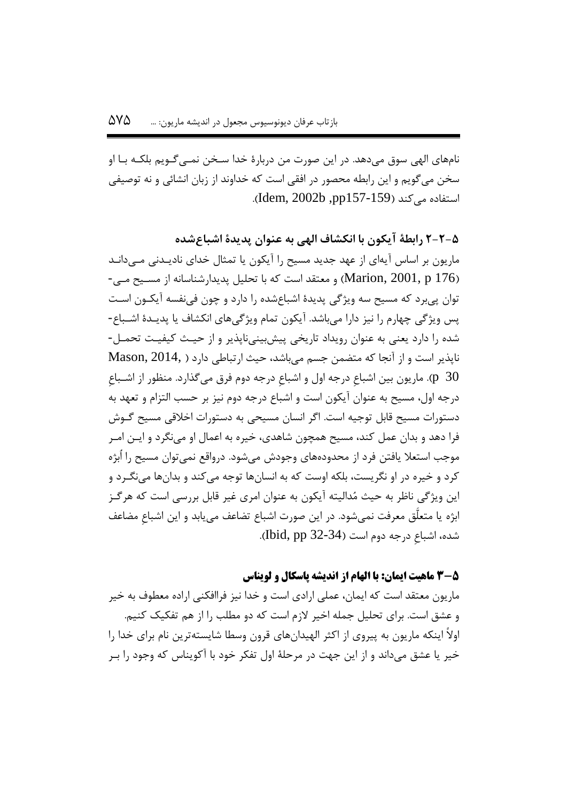نامهای الهی سوق میدهد. در این صورت من دربارۀ خدا سهخن نمه یگهو یم بلکهه بها او سخن میگویم و این رابطه محصور در افقی است که خداوند از زبان انشائی و نه توصیفی استفاده می کند (159-157و, Idem, 2002b).

**2-2-5 رابطۀ آیکون با انکشاف الهی به عنوان پدیدۀ اشااعشده** ماریون بر اساس آیهای از عهد جدید مسیح را آیکون یا تمثال خدای نادیـدنی مـی‹دانـد و معتقد است که با تحلیل پدیدارشناسانه از مسیح میی (Marion, 2001, p 176) توان پیبرد که مسیو سه ویژگی پدیدۀ اشباعشده را دارد و چون فینفسه آیکهون اسهت یس ویژگی چهارم را نیز دارا می باشد. آیکون تمام ویژگیهای انکشاف یا پدیـدۀ اشــباع -شده را دارد یعنی به عنوان رویداد تاریخی پیشبینی ناپذیر و از حیـث کیفیـت تحمـل-ناپذیر است و از آنجا که متضمن جسم میباشد، حیث ارتباطی دارد ) 2014, ,Mason ب). ماریون بین اشباعِ درجه اول و اشباعِ درجه دوم فرق میگذارد. منظور از اشـباع $\,$  (p $\,$  30 درجه اول، مسیو به عنوان آیکون است و اشباع درجه دوم نیز بر حسب التزام و تعهد به دستورات مسیو قابل توجیه است. اگر انسان مسیحی به دستورات اخالقی مسیو گهوش فرا دهد و بدان عمل کند، مسیو همچون شاهدی، خیره به اعمال او مینگرد و ایه ن امهر موجب استعلا یافتن فرد از محدودههای وجودش میشود. درواقع نمیتوان مسیح را اُبژه کرد و خیره در او نگریست، بلکه اوست که به انسانها توجه میکند و بدانها مینگهرد و این ویژگی ناظر به حیث مُدالیته آیکون به عنوان امری غیر قابل بررسی است که هرگهز ابژه یا متعلَّق معرفت نمیشود. در این صورت اشباع تضاعف مییابد و این اشباعِ مضاعف شده، اشباعِ درجه دوم است )32-34 pp ,Ibid).

#### **3-5 ماهیت ایمان: با الهام از اندیشه پاسکال و لویناس**

ماریون معتقد است که ایمان، عملی ارادی است و خدا نیز فراافکنی اراده معطوف به خیر و عشق است. برای تحلیل جمله اخیر الزم است که دو مطلب را از هم تفکیک کنیم. اوالً اینکه ماریون به پیروی از اکثر الهیدانهای قرون وسطا شایستهترین نام برای خدا را خیر یا عشق میداند و از این جهت در مرحلۀ اول تفکر خود با آکویناس که وجود را بهر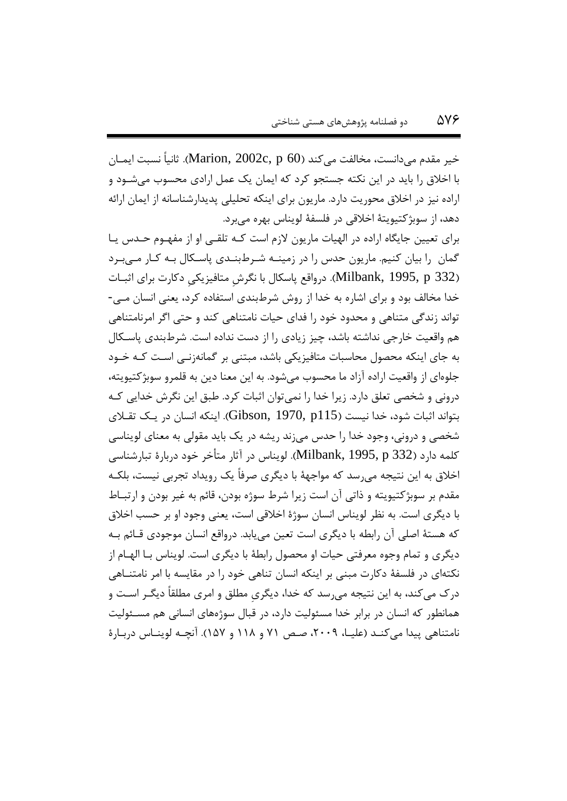خیر مقدم میدانست، مخالفت میکند )60 p ,c2002 ,Marion). یانیاً نسبت ایمهان با اخالق را باید در این نکته جستجو کرد که ایمان یک عمل ارادی محسوب میشهود و اراده نیز در اخالق محوریت دارد. ماریون برای اینکه تحلیلی پدیدارشناسانه از ایمان ارائه دهد، از سوبژکتیویتۀ اخالقی در فلسفۀ لویناس بهره میبرد.

برای تعیین جایگاه اراده در الهیات ماریون لازم است کـه تلقـی او از مفهـوم حـدس یـا گمان را بیان کنیم. ماریون حدس را در زمینـه شـرطبنـدی پاسـکال بـه کـار مـیبـرد (1995, p 332). درواقع پاسکال با نگرش متافیزیکی دکارت برای اثبـات خدا مخالف بود و برای اشاره به خدا از روش شرطبندی استفاده کرد، یعنی انسان مه ی- تواند زندگی متناهی و محدود خود را فدای حیات نامتناهی کند و حتی اگر امرنامتناهی هم واقعیت خارجی نداشته باشد، چیز زیادی را از دست نداده است. شرطبندی پاسهکال به جای اینکه محصول محاسبات متافیزیکی باشد، مبتنی بر گمانهزنهی اسهت کهه خهود جلوهای از واقعیت اراده آزاد ما محسوب میشود. به این معنا دین به قلمرو سوبژکتیویته، درونی و شخصی تعلق دارد. زیرا خدا را نمیتوان ایبات کرد. طبق این نگرش خدایی کهه بتواند اثبات شود، خدا نیست (115 $\,$ 6ibson, 1970, p). اینکه انسان در یـک تقـلای شخصی و درونی، وجود خدا را حدس میزند ریشه در یک باید مقولی به معنای لویناسی کلمه دارد )332 p 1995, ,Milbank). لویناس در آیار متأخر خود دربارۀ تبارشناسی اخالق به این نتیجه میرسد که مواجهۀ با دیگری صرفاً یک رویداد تجربی نیست، بلکهه مقدم بر سوبژکتیویته و ذاتی آن است زیرا شرط سوژه بودن، قائم به غیر بودن و ارتبهاط با دیگری است. به نظر لویناس انسان سوژۀ اخالقی است، یعنی وجود او بر حسب اخالق که هستۀ اصلی آن رابطه با دیگری است تعین مییابد. درواقع انسان موجودی قهائم بهه دیگری و تمام وجوه معرفتی حیات او محصول رابطۀ با دیگری است. لویناس بها الههام از نکتهای در فلسفۀ دکارت مبنی بر اینکه انسان تناهی خود را در مقایسه با امر نامتنهاه ی درک میکند، به این نتیجه میرسد که خدا، دیگریِ مطلق و امری مطلقاً دیگهر اسهت و همانطور که انسان در برابر خدا مسئولیت دارد، در قبال سوژههای انسانی هم مسـئولیت نامتناهی پیدا میکنـد (علیـا، ۲۰۰۹، صـص ۷۱ و ۱۱۸ و ۱۵۷). آنچـه لوینـاس دربـارۀ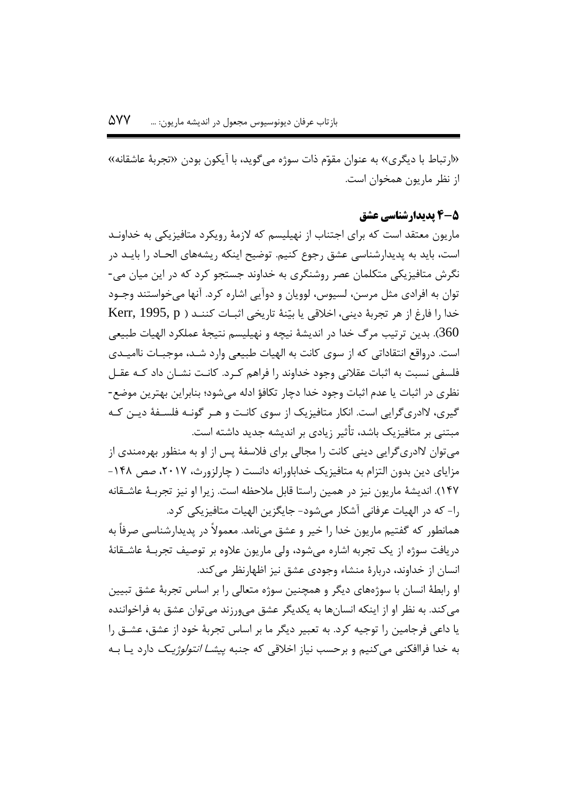«ارتباط با دیگری» به عنوان مقوّم ذات سوژه می گوید، با آیکون بودن «تجربۀ عاشقانه» از نظر ماریون همخوان است.

### **4-5 پدیدارشناسی عشق**

ماریون معتقد است که برای اجتناب از نهیلیسم که الزمۀ رویکرد متافیزیکی به خداونهد است، باید به پدیدارشناسی عشق رجوع کنیم. توضیح اینکه ریشههای الحـاد را بایــد در نگرش متافیزیکی متکلمان عصر روشنگری به خداوند جستجو کرد که در این میان می- توان به افرادی مثل مرسن، لسیوس، لوویان و دوآیی اشاره کرد. آنها میخواستند وجهود خدا را فارغ از هر تجربۀ دینی، اخلاقی یا بیّنۀ تاریخی اثبـات کننـد ( Kerr, 1995, p دین ترتیب مرگ خدا در اندیشۀ نیچه و نهیلیسم نتیجۀ عملکرد الهیات طبیعی. $360$ است. درواقع انتقاداتی که از سوی کانت به الهیات طبیعی وارد شـد، موجبـات ناامیـدی فلسفی نسبت به ایبات عقالنی وجود خداوند را فراهم کهر د. کانهت نشهان داد کهه عقهل نظری در ایبات یا عدم ایبات وجود خدا دچار تکافؤ ادله میشود؛ بنابراین بهترین موضع- گیری، الادریگرایی است. انکار متافیزیک از سوی کانهت و ههر گونهه فلسهفۀ دیهن کهه مبتنی بر متافیزیک باشد، تأییر زیادی بر اندیشه جدید داشته است.

می توان لاادریگرایی دینی کانت را مجالی برای فلاسفۀ پس از او به منظور بهرهمندی از مزایای دین بدون التزام به متافیزیک خداباورانه دانست ( چارلزورث، ۲۰۱۷، صص ۱۴۸-105(. اندیشۀ ماریون نیز در همین راستا قابل مالحظه است. زیرا او نیز تجربهۀ عاشهقانه را- که در الهیات عرفانی آشکار میشود- جایگزین الهیات متافیزیکی کرد. همانطور که گفتیم ماریون خدا را خیر و عشق مینامد. معموالً در پدیدارشناسی صرفاً به

دریافت سوژه از یک تجربه اشاره میشود، ولی ماریون عالوه بر توصیف تجربهۀ عاشهقانۀ انسان از خداوند، دربارۀ منشاء وجودی عشق نیز اظهارنظر میکند.

او رابطۀ انسان با سوژههای دیگر و همچنین سوژه متعالی را بر اساس تجربۀ عشق تبیین میکند. به نظر او از اینکه انسانها به یکدیگر عشق میورزند میتوان عشق به فراخواننده یا داعی فرجامین را توجیه کرد. به تعبیر دیگر ما بر اساس تجربۀ خود از عشق، عشهق را به خدا فراافکنی می کنیم و برحسب نیاز اخلاقی که جنبه *پیشــا انتولوژیــک* دارد یــا بــه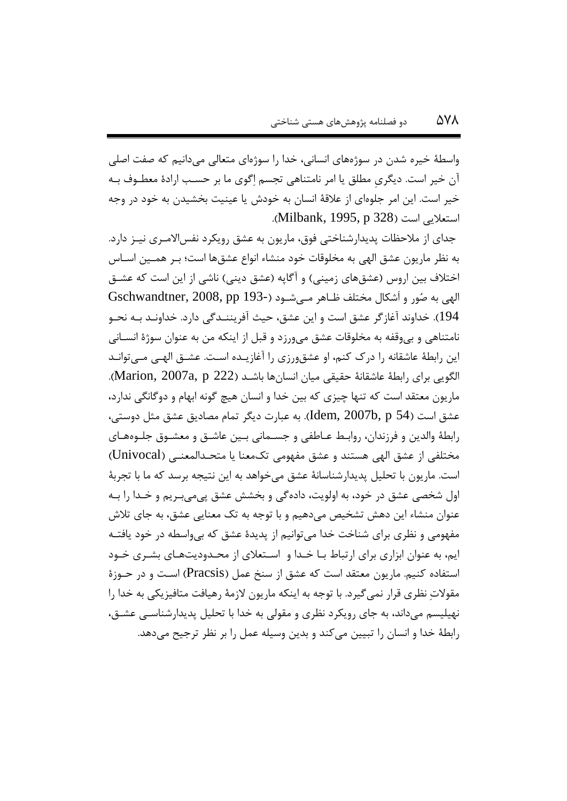واسطۀ خیره شدن در سوژههای انسانی، خدا را سوژهای متعالی میدانیم که صفت اصلی آن خیر است. دیگری مطلق یا امر نامتناهی تجسم اِگوی ما بر حسـب ارادۀ معطـوف بـه خیر است. این امر جلوهای از عالقۀ انسان به خودش یا عینیت بخشیدن به خود در وجه استعلایی است (1328 Milbank, 1995, p).

جدای از ملاحظات پدیدارشناختی فوق، ماریون به عشق رویکرد نفس|لامـری نیــز دارد. به نظر ماریون عشق الهی به مخلوقات خود منشاء انواع عشقها است؛ بهر همه ین اسهاس اختلاف بین اروس (عشقهای زمینی) و آگاپه (عشق دینی) ناشی از این است که عشـق الهی به صُور و اَشکال مختلف ظـاهر مـی شــود (-Gschwandtner, 2008, pp 193 194). خداوند آغازگر عشق است و این عشق، حیث آفریننـدگی دارد. خداونـد بـه نحـو نامتناهی و بیوقفه به مخلوقات عشق میورزد و قبل از اینکه من به عنوان سوژۀ انسهان ی این رابطۀ عاشقانه را درک کنم، او عشق1رزی را آغازیـده اسـت. عشــق الهــی مــیتوانــد الگویی برای رابطۀ عاشقانۀ حقیقی میان انسانها باشهد )222 p ,a2007 ,Marion). ماریون معتقد است که تنها چیزی که بین خدا و انسان هیچ گونه ابهام و دوگانگی ندارد، عشق است )54 p ,b2007 ,Idem). به عبارت دیگر تمام مصادیق عشق مثل دوستی، رابطۀ والدین و فرزندان، روابط عـاطفی و جسـمانی بـین عاشـق و معشـوق جلـوههـای مختلفی از عشق الهی هستند و عشق مفهومی تکمعنا یا متحهد المعنهی )Univocal) است. ماریون با تحلیل پدیدارشناسانۀ عشق میخواهد به این نتیجه برسد که ما با تجربۀ اول شخصی عشق در خود، به اولویت، دادهگی و بخشش عشق پیمیبهر یم و خهدا را بهه عنوان منشاء این دهش تشخیص میدهیم و با توجه به تک معنایی عشق، به جای تالش مفهومی و نظری برای شناخت خدا میتوانیم از پدیدۀ عشق که بیواسطه در خود یافتهه ایم، به عنوان ابزاری برای ارتباط بـا خـدا و اســتعلای از محـدودیتهـای بشــری خــود استفاده کنیم. ماریون معتقد است که عشق از سنخ عمل )Pracsis )اسهت و در حهوز ۀ مقوالتِ نظری قرار نمیگیرد. با توجه به اینکه ماریون الزمۀ رهیافت متافیزیکی به خدا را نهیلیسم میداند، به جای رویکرد نظری و مقولی به خدا با تحلیل پدیدارشناسه ی عشهق، رابطۀ خدا و انسان را تبیین میکند و بدین وسیله عمل را بر نظر ترجیو میدهد.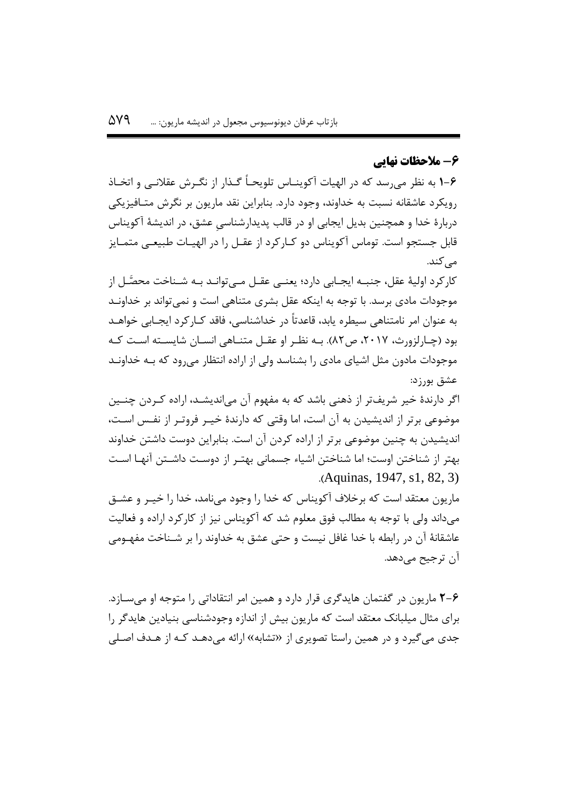# **-6 مالحظات نهایی**

**1-6** به نظر میرسد که در الهیات آکوینهاس تلویحهاً گهذار از نگهرش عقال نهی و اتخهاذ رویکرد عاشقانه نسبت به خداوند، وجود دارد. بنابراین نقد ماریون بر نگرش متـافیزیکی دربارۀ خدا و همچنین بدیل ایجابی او در قالب پدیدارشناسیِ عشق، در اندیشۀ آکویناس قابل جستجو است. توماس آکویناس دو کــارکرد از عقــل را در الهيــات طبيعــي متمــايز مے کند.

کارکرد اولیۀ عقل، جنبــه ایجــابی دارد؛ یعنــی عقــل مــیتوانــد بــه شــناخت محصَّــل از موجودات مادی برسد. با توجه به اینکه عقل بشری متناهی است و نمیتواند بر خداونهد به عنوان امر نامتناهی سیطره یابد، قاعدتاً در خداشناسی، فاقد کـارکرد ایجـابی خواهــد بود (چـارلزورث، ٢٠١٧، ص٨٢). بـه نظـر او عقـل متنــاهی انســان شایســته اســت کــه موجودات مادون مثل اشیای مادی را بشناسد ولی از اراده انتظار میرود که بهه خداونهد عشق بورزد:

اگر دارندۀ خیر شریفتر از ذهنی باشد که به مفهوم آن میاندیشهد، اراده کهردن چنه ین موضوعی برتر از اندیشیدن به آن است، اما وقتی که دارندۀ خیه ر فروتهر از نفه اسهت، اندیشیدن به چنین موضوعی برتر از اراده کردن آن است. بنابراین دوست داشتن خداوند بهتر از شناختن اوست؛ اما شناختن اشیاء جسمانی بهتهر از دوسهت داشهتن آنهها اسهت .)Aquinas, 1947, s1, 82, 3)

ماریون معتقد است که برخالف آکویناس که خدا را وجود مینامد، خدا را خیه ر و عشهق میداند ولی با توجه به مطالب فوق معلوم شد که آکویناس نیز از کارکرد اراده و فعالیت عاشقانۀ آن در رابطه با خدا غافل نیست و حتی عشق به خداوند را بر شـناخت مفهـومی آن ترجیو میدهد.

**2-6** ماریون در گفتمان هایدگری قرار دارد و همین امر انتقاداتی را متوجه او میسهازد . برای مثال میلبانک معتقد است که ماریون بیش از اندازه وجودشناسی بنیادین هایدگر را جدی میگیرد و در همین راستا تصویری از »تشابه« ارائه میدههد کهه از ههدف اصهل ی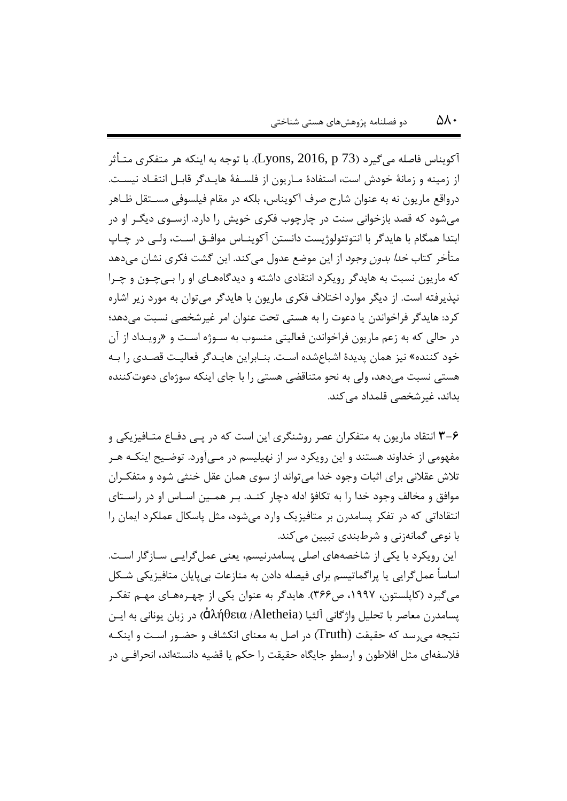آکویناس فاصله می $\xi$ یرد (Lyons, 2016, p 73). با توجه به اینکه هر متفکری متـأثر از زمینه و زمانۀ خودش است، استفادۀ مهاریون از فلسهفۀ هایهدگر قابهل انتقهاد نیسهت. درواقع ماریون نه به عنوان شارح صرف آکویناس، بلکه در مقام فیلسوفی مسـتقل ظـاهر میشود که قصد بازخوانی سنت در چارچوب فکری خویش را دارد. ازسهوی دیگهر او در ابتدا همگام با هایدگر با انتوتئولوژیست دانستن آکوینهاس موافهق اسهت ، ولهی در چهاپ متأخر کتاب *خدا بدون وجود* از این موضع عدول میکند. این گشت فکری نشان میدهد که ماریون نسبت به هایدگر رویکرد انتقادی داشته و دیدگاهههای او را بهی چهون و چهرا نپذیرفته است. از دیگر موارد اختالف فکری ماریون با هایدگر میتوان به مورد زیر اشاره کرد: هایدگر فراخواندن یا دعوت را به هستی تحت عنوان امر غیرشخصی نسبت میدهد؛ در حالی که به زعم ماریون فراخواندن فعالیتی منسوب به سهوژه اسهت و »رویه داد از آن خود کننده» نیز همان پدیدۀ اشباعشده است. بنـابراین هایـدگر فعالیـت قصـدی را بـه هستی نسبت میدهد، ولی به نحو متناقضی هستی را با جای اینکه سوژهای دعوتکننده بداند، غیر شخصی قلمداد می کند.

**3-6** انتقاد ماریون به متفکران عصر روشنگری این است که در پهی دفهاع متهافیزیکی و مفهومی از خداوند هستند و این رویکرد سر از نهیلیسم در مهی آورد. توضهیو اینکهه ههر تلاش عقلانی برای اثبات وجود خدا می تواند از سوی همان عقل خنثی شود و متفکـران موافق و مخالف وجود خدا را به تکافؤ ادله دچار کنهد. بهر همهین اسهاس او در راسهتای انتقاداتی که در تفکر پسامدرن بر متافیزیک وارد میشود، مثل پاسکال عملکرد ایمان را با نوعی گمانهزنی و شرطبندی تبیین میکند.

این رویکرد با یکی از شاخصههای اصلی پسامدرنیسم، یعنی عملگرایهی سهازگار اسهت. اساساً عملگرایی یا پراگماتیسم برای فیصله دادن به منازعات بیپایان متافیزیکی شهکل میگیرد (کاپلستون، ۱۹۹۷، ص۳۶۶). هایدگر به عنوان یکی از چهـرههـای مهـم تفکـر پسامدرن معاصر با تحلیل واژگانی آلثیا )Aletheia/ ἀλήθεια )در زبان یونانی به ایهن نتیجه میرسد که حقیقت )Truth )در اصل به معنای انکشاف و حضهور اسهت و اینکهه فالسفهای مثل افالطون و ارسطو جایگاه حقیقت را حکم یا قضیه دانستهاند، انحرافهی در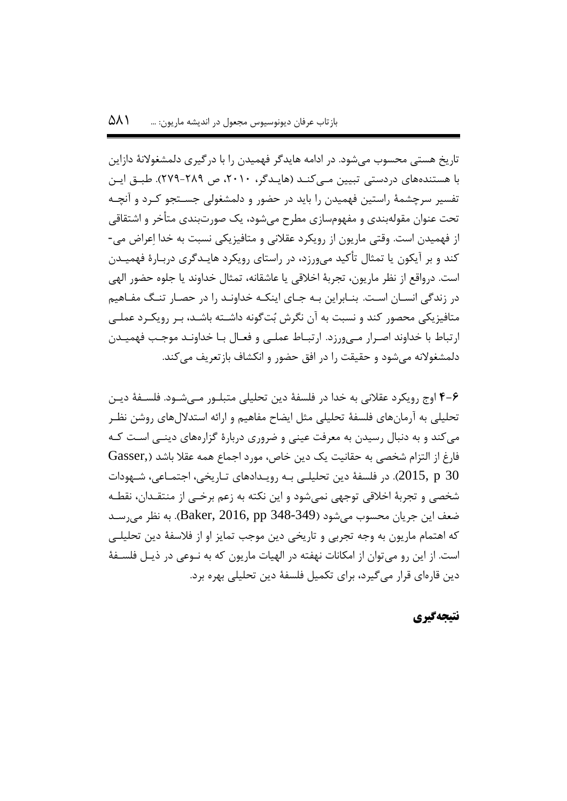تاریخ هستی محسوب میشود. در ادامه هایدگر فهمیدن را با درگیری دلمشغوالنۀ دازاین با هستندههای دردستی تبیین مهی کنهد )هایهدگر، ،5515 ص 555-585(. طبهق ایهن تفسیر سرچشمۀ راستین فهمیدن را باید در حضور و دلمشغولی جسهتجو کهرد و آنچهه تحت عنوان مقولهبندی و مفهومسازی مطرح میشود، یک صورتبندی متأخر و اشتقاقی از فهمیدن است. وقتی ماریون از رویکرد عقالنی و متافیزیکی نسبت به خدا اِعراض می- کند و بر آیکون یا تمثال تأکید میورزد، در راستای رویکرد هایهدگری دربهارۀ فهمیهدن است. درواقع از نظر ماریون، تجربۀ اخالقی یا عاشقانه، تمثال خداوند یا جلوه حضور الهی در زندگی انسهان اسهت. بنهابراین بهه جهای اینکهه خداونهد را در حصهار تنهگ مفهاهیم متافیزیکی محصور کند و نسبت به آن نگرش بُتگونه داشهته باشهد، بهر رویکهرد عملهی ارتباط با خداوند اصرار مهیورزد. ارتباط عملی و فعال با خداونـد موجـب فهمیـدن دلمشغوالنه میشود و حقیقت را در افق حضور و انکشاف بازتعریف میکند.

**4-6** اوج رویکرد عقالنی به خدا در فلسفۀ دین تحلیلی متبلهور مهی شهود. فلسهفۀ دیهن تحلیلی به آرمانهای فلسفۀ تحلیلی مثل ایضاح مفاهیم و ارائه استداللهای روشن نظهر میکند و به دنبال رسیدن به معرفت عینی و ضروری دربارۀ گزارههای دینهی اسهت کهه فارغ از التزام شخصی به حقانیت یک دین خاص، مورد اجماع همه عقال باشد ),Gasser در فلسفۀ دین تحلیلـی بـه رویـدادهای تـاریخی، اجتمـاعی، شـهودات (Caps شخصی و تجربۀ اخالقی توجهی نمیشود و این نکته به زعم برخهی از منتقه دان، نقطهه ضعف این جریان محسوب می شود (Baker, 2016, pp 348-349). به نظر می رسـد که اهتمام ماریون به وجه تجربی و تاریخی دین موجب تمایز او از فالسفۀ دین تحلیلهی است. از این رو می توان از امکانات نهفته در الهیات ماریون که به نــوعی در ذیــل فلســفۀ دین قارهای قرار میگیرد، برای تکمیل فلسفۀ دین تحلیلی بهره برد.

# **نتیجهگیری**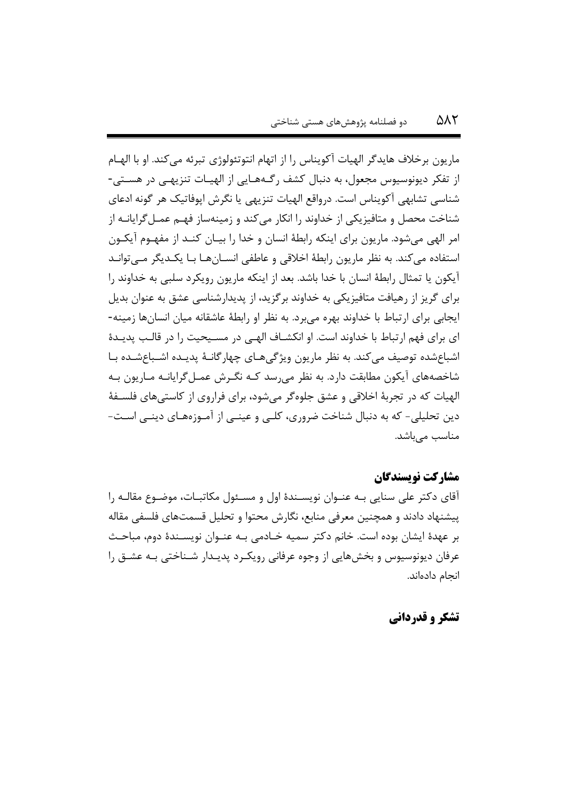ماریون برخالف هایدگر الهیات آکویناس را از اتهام انتوتئولوژی تبرئه میکند. او با الههام از تفکر دیونوسیوس مجعول، به دنبال کشف رگـههـایی از الهیـات تنزیهـی در هسـتی-شناسی تشابهی آکویناس است. درواقع الهیات تنزیهی یا نگرش اپوفاتیک هر گونه ادعای شناخت محصل و متافیزیکی از خداوند را انکار میکند و زمینهساز فهـم عمـل5رایانـه از امر الهی میشود. ماریون برای اینکه رابطۀ انسان و خدا را بیـان کنـد از مفهـوم آیکـون استفاده میکند. به نظر ماریون رابطۀ اخالقی و عاطفی انسهان هها بها یکهد یگر مه یتوانهد آیکون یا تمثال رابطۀ انسان با خدا باشد. بعد از اینکه ماریون رویکرد سلبی به خداوند را برای گریز از رهیافت متافیزیکی به خداوند برگزید، از پدیدارشناسی عشق به عنوان بدیل ایجابی برای ارتباط با خداوند بهره میبرد. به نظر او رابطۀ عاشقانه میان انسانها زمینه- ای برای فهم ارتباط با خداوند است. او انکشـاف الهـی در مسـیحیت را در قالـب پدیـدۀ اشباعشده توصیف میکند. به نظر ماریون ویژگیهای چهارگانـهٔ پدیـده اشـباعشـده بـا شاخصههای آیکون مطابقت دارد. به نظر میرسد کـه نگـرش عمـل۴گرایانـه مـاریون بـه الهیات که در تجربۀ اخالقی و عشق جلوهگر میشود، برای فراروی از کاستیهای فلسهفۀ دین تحلیلی- که به دنبال شناخت ضروری، کلهی و عینهی از آمهوزه ههای دینهی اسهت - مناسب می باشد.

## **مشارکت نویسندگان**

آقای دکتر علی سنایی بـه عنـوان نویسـندۀ اول و مسـئول مکاتبـات، موضـوع مقالـه را پیشنهاد دادند و همچنین معرفی منابع، نگارش محتوا و تحلیل قسمتهای فلسفی مقاله بر عهدۀ ایشان بوده است. خانم دکتر سمیه خهادمی بهه عنهوان نویسهندۀ دوم، مباحهث عرفان دیونوسیوس و بخشهایی از وجوه عرفانی رویک رد پدیـدار شــناختی بـه عشــق را انجام دادهاند.

**تشکر و قدردانی**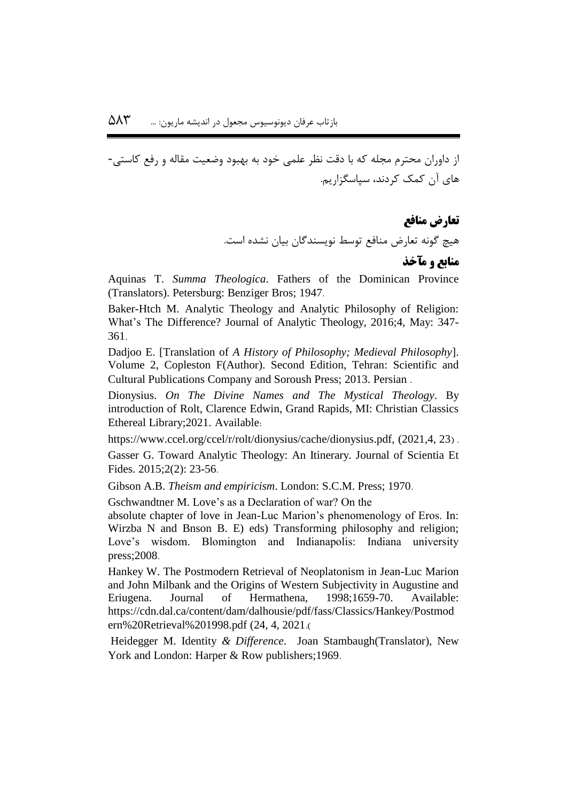از داوران محترم مجله که با دقت نظر علمی خود به بهبود وضعیت مقاله و رفع کاستی- های آن کمک کردند، سپاسگزاریم.

> **تعارض منافع** هیچ گونه تعارض منافع توسط نویسندگان بیان نشده است.

# **منابع و مآخذ**

Aquinas T. *Summa Theologica*. Fathers of the Dominican Province (Translators). Petersburg: Benziger Bros; 1947.

Baker-Htch M. Analytic Theology and Analytic Philosophy of Religion: What's The Difference? Journal of Analytic Theology, 2016;4, May: 347- 361.

Dadjoo E. [Translation of *A History of Philosophy; Medieval Philosophy*]. Volume 2, Copleston F(Author). Second Edition, Tehran: Scientific and Cultural Publications Company and Soroush Press; 2013. Persian .

Dionysius. *On The Divine Names and The Mystical Theology*. By introduction of Rolt, Clarence Edwin, Grand Rapids, MI: Christian Classics Ethereal Library;2021. Available:

https://www.ccel.org/ccel/r/rolt/dionysius/cache/dionysius.pdf, (2021,4, 23).

Gasser G. Toward Analytic Theology: An Itinerary. Journal of Scientia Et Fides. 2015;2(2): 23-56.

Gibson A.B. *Theism and empiricism*. London: S.C.M. Press; 1970.

Gschwandtner M. Love's as a Declaration of war? On the

absolute chapter of love in Jean-Luc Marion's phenomenology of Eros. In: Wirzba N and Bnson B. E) eds) Transforming philosophy and religion; Love's wisdom. Blomington and Indianapolis: Indiana university press;2008.

Hankey W. The Postmodern Retrieval of Neoplatonism in Jean-Luc Marion and John Milbank and the Origins of Western Subjectivity in Augustine and Eriugena. Journal of Hermathena, 1998;1659-70. Available: https://cdn.dal.ca/content/dam/dalhousie/pdf/fass/Classics/Hankey/Postmod ern%20Retrieval%201998.pdf (24, 4, 2021.

Heidegger M. Identity *& Difference*. Joan Stambaugh(Translator), New York and London: Harper & Row publishers; 1969.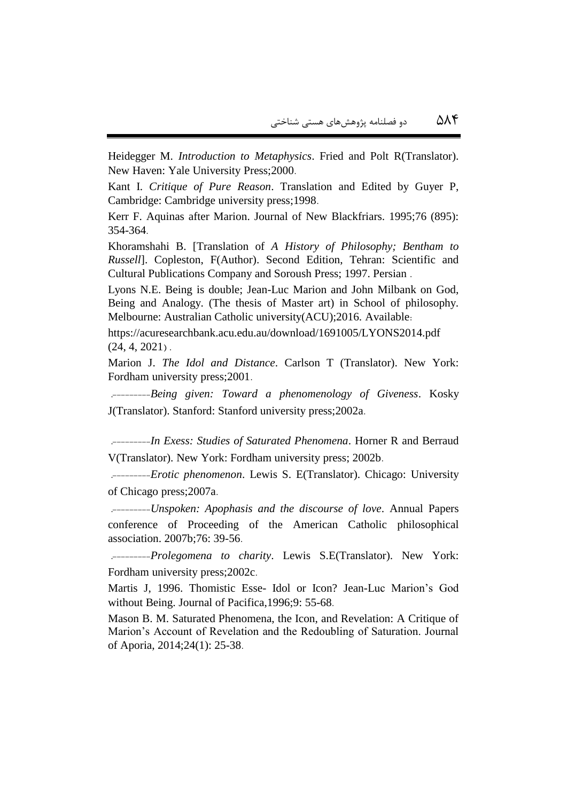Heidegger M. *Introduction to Metaphysics*. Fried and Polt R(Translator). New Haven: Yale University Press;2000.

Kant I. *Critique of Pure Reason*. Translation and Edited by Guyer P, Cambridge: Cambridge university press;1998.

Kerr F. Aquinas after Marion. Journal of New Blackfriars. 1995;76 (895): 354-364.

Khoramshahi B. [Translation of *A History of Philosophy; Bentham to Russell*]. Copleston, F(Author). Second Edition, Tehran: Scientific and Cultural Publications Company and Soroush Press; 1997. Persian .

Lyons N.E. Being is double; Jean-Luc Marion and John Milbank on God, Being and Analogy. (The thesis of Master art) in School of philosophy. Melbourne: Australian Catholic university(ACU);2016. Available:

https://acuresearchbank.acu.edu.au/download/1691005/LYONS2014.pdf  $(24, 4, 2021)$ .

Marion J. *The Idol and Distance*. Carlson T (Translator). New York: Fordham university press;2001.

 .---------*Being given: Toward a phenomenology of Giveness*. Kosky J(Translator). Stanford: Stanford university press;2002a.

 .---------*In Exess: Studies of Saturated Phenomena*. Horner R and Berraud V(Translator). New York: Fordham university press; 2002b.

 .---------*Erotic phenomenon*. Lewis S. E(Translator). Chicago: University of Chicago press;2007a.

 .---------*Unspoken: Apophasis and the discourse of love*. Annual Papers conference of Proceeding of the American Catholic philosophical association. 2007b;76: 39-56.

 .---------*Prolegomena to charity*. Lewis S.E(Translator). New York: Fordham university press;2002c.

Martis J, 1996. Thomistic Esse- Idol or Icon? Jean-Luc Marion's God without Being. Journal of Pacifica,1996;9: 55-68.

Mason B. M. Saturated Phenomena, the Icon, and Revelation: A Critique of Marion's Account of Revelation and the Redoubling of Saturation. Journal of Aporia, 2014;24(1): 25-38.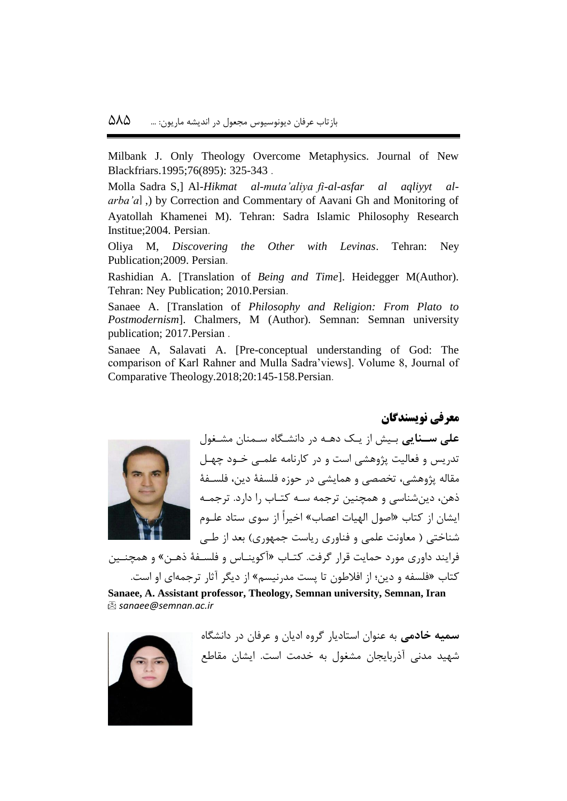Milbank J. Only Theology Overcome Metaphysics. Journal of New Blackfriars.1995;76(895): 325-343 .

Molla Sadra S,] Al*-Hikmat al-muta'aliya fi-al-asfar al aqliyyt al*arba'a], by Correction and Commentary of Aavani Gh and Monitoring of Ayatollah Khamenei M). Tehran: Sadra Islamic Philosophy Research Institue;2004. Persian.

Oliya M, *Discovering the Other with Levinas*. Tehran: Ney Publication;2009. Persian.

Rashidian A. [Translation of *Being and Time*]. Heidegger M(Author). Tehran: Ney Publication; 2010.Persian.

Sanaee A. [Translation of *Philosophy and Religion: From Plato to Postmodernism*]. Chalmers, M (Author). Semnan: Semnan university publication; 2017.Persian .

Sanaee A, Salavati A. [Pre-conceptual understanding of God: The comparison of Karl Rahner and Mulla Sadra'views]. Volume 8, Journal of Comparative Theology.2018;20:145-158.Persian.



**علی سینایی** بهیش از یهک دههه در دانشهگاه سهمنان مشهغول تدریس و فعالیت پژوهشی است و در کارنامه علمــی خــود چهـل مقاله پژوهشی، تخصصی و همایشی در حوزه فلسفۀ دین، فلسهفۀ ذهن، دینشناسی و همچنین ترجمه سهه کتهاب را دارد. ترجمهه ایشان از کتاب »اصول الهیات اعصاب« اخیراً از سوی ستاد علهوم شناختی ) معاونت علمی و فناوری ریاست جمهوری( بعد از طهی

**معرفی نویسندگان**

فرایند داوری مورد حمایت قرار گرفت. کتـاب «آکوینــاس و فلســفهٔ ذهــن» و همچنــین کتاب »فلسفه و دین؛ از افالطون تا پست مدرنیسم« از دیگر آیار ترجمهای او است.

**Sanaee, A. Assistant professor, Theology, Semnan university, Semnan, Iran** *[sanaee@semnan.ac.ir](mailto:sanaee@semnan.ac.ir)*



**سمیه خادمی** به عنوان استادیار گروه ادیان و عرفان در دانشگاه شهید مدنی آذربایجان مشغول به خدمت است. ایشان مقاطع